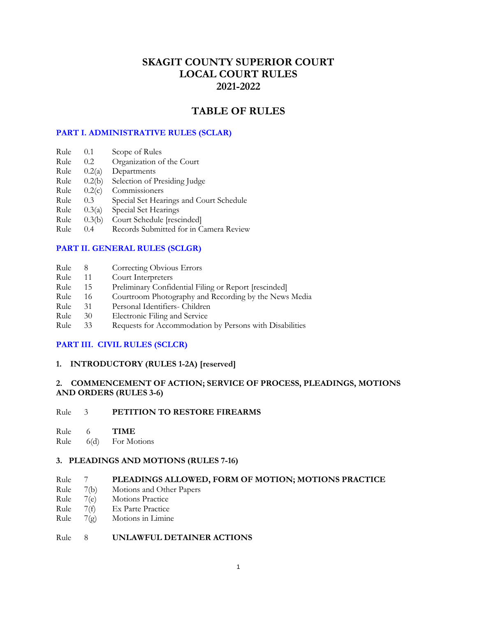# **SKAGIT COUNTY SUPERIOR COURT LOCAL COURT RULES 2021-2022**

# **TABLE OF RULES**

## **[PART I. ADMINISTRATIVE RULES \(SCLAR\)](#page-6-0)**

- Rule 0.1 Scope of Rules
- Rule 0.2 Organization of the Court
- Rule 0.2(a) Departments
- Rule 0.2(b) Selection of Presiding Judge
- Rule 0.2(c) Commissioners
- Rule 0.3 Special Set Hearings and Court Schedule
- Rule 0.3(a) Special Set Hearings
- Rule 0.3(b) Court Schedule [rescinded]
- Rule 0.4 Records Submitted for in Camera Review

## **[PART II. GENERAL RULES \(SCLGR\)](#page-7-0)**

- Rule 8 Correcting Obvious Errors
- Rule 11 Court Interpreters<br>Rule 15 Preliminary Confid
- 15 Preliminary Confidential Filing or Report [rescinded]
- Rule 16 Courtroom Photography and Recording by the News Media
- Rule 31 Personal Identifiers- Children
- Rule 30 Electronic Filing and Service
- Rule 33 Requests for Accommodation by Persons with Disabilities

#### **[PART III. CIVIL RULES \(SCLCR\)](#page-9-0)**

#### **1. INTRODUCTORY (RULES 1-2A) [reserved]**

## **2. COMMENCEMENT OF ACTION; SERVICE OF PROCESS, PLEADINGS, MOTIONS AND ORDERS (RULES 3-6)**

### Rule 3 **PETITION TO RESTORE FIREARMS**

Rule 6 **TIME**

Rule 6(d) For Motions

#### **3. PLEADINGS AND MOTIONS (RULES 7-16)**

## Rule 7 **PLEADINGS ALLOWED, FORM OF MOTION; MOTIONS PRACTICE**

- Rule 7(b) Motions and Other Papers
- Rule 7(e) Motions Practice
- Rule 7(f) Ex Parte Practice
- Rule 7(g) Motions in Limine

## Rule 8 **UNLAWFUL DETAINER ACTIONS**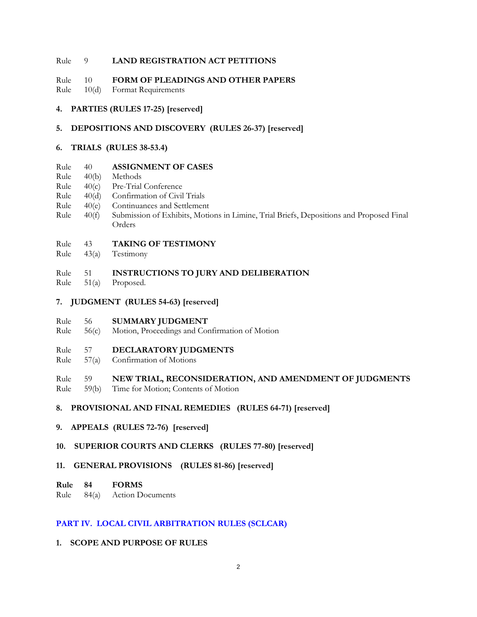### Rule 9 **LAND REGISTRATION ACT PETITIONS**

### Rule 10 **FORM OF PLEADINGS AND OTHER PAPERS**

- Rule 10(d) Format Requirements
- **4. PARTIES (RULES 17-25) [reserved]**

## **5. DEPOSITIONS AND DISCOVERY (RULES 26-37) [reserved]**

### **6. TRIALS (RULES 38-53.4)**

### Rule 40 **ASSIGNMENT OF CASES**

- Rule 40(b) Methods
- Rule 40(c) Pre-Trial Conference
- Rule 40(d) Confirmation of Civil Trials
- Rule 40(e) Continuances and Settlement
- Rule 40(f) Submission of Exhibits, Motions in Limine, Trial Briefs, Depositions and Proposed Final Orders

## Rule 43 **TAKING OF TESTIMONY**

Rule 43(a) Testimony

### Rule 51 **INSTRUCTIONS TO JURY AND DELIBERATION**

Rule 51(a) Proposed.

### **7. JUDGMENT (RULES 54-63) [reserved]**

- Rule 56 **SUMMARY JUDGMENT**
- Rule 56(c) Motion, Proceedings and Confirmation of Motion

#### Rule 57 **DECLARATORY JUDGMENTS**

Rule 57(a) Confirmation of Motions

## Rule 59 **NEW TRIAL, RECONSIDERATION, AND AMENDMENT OF JUDGMENTS**

Rule 59(b) Time for Motion; Contents of Motion

## **8. PROVISIONAL AND FINAL REMEDIES (RULES 64-71) [reserved]**

**9. APPEALS (RULES 72-76) [reserved]**

## **10. SUPERIOR COURTS AND CLERKS (RULES 77-80) [reserved]**

## **11. GENERAL PROVISIONS (RULES 81-86) [reserved]**

### **Rule 84 FORMS**

## Rule 84(a) Action Documents

## **[PART IV. LOCAL CIVIL ARBITRATION RULES \(SCLCAR\)](#page-23-0)**

## **1. SCOPE AND PURPOSE OF RULES**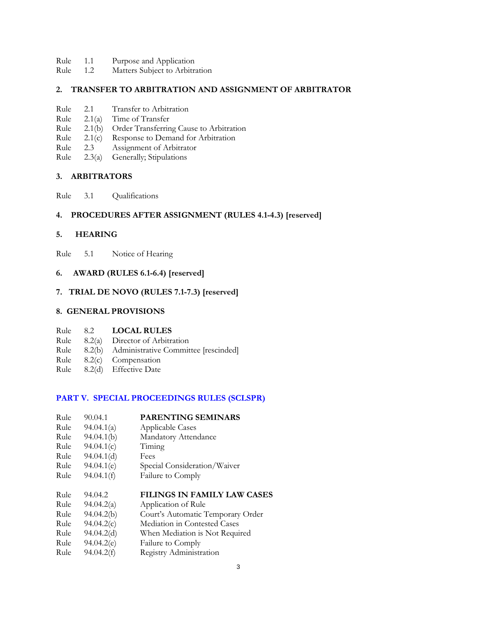- Rule 1.1 Purpose and Application
- Rule 1.2 Matters Subject to Arbitration

### **2. TRANSFER TO ARBITRATION AND ASSIGNMENT OF ARBITRATOR**

- Rule 2.1 Transfer to Arbitration
- Rule 2.1(a) Time of Transfer
- Rule 2.1(b) Order Transferring Cause to Arbitration
- Rule 2.1(c) Response to Demand for Arbitration
- Rule 2.3 Assignment of Arbitrator
- Rule 2.3(a) Generally; Stipulations

### **3. ARBITRATORS**

Rule 3.1 Qualifications

## **4. PROCEDURES AFTER ASSIGNMENT (RULES 4.1-4.3) [reserved]**

#### **5. HEARING**

Rule 5.1 Notice of Hearing

## **6. AWARD (RULES 6.1-6.4) [reserved]**

#### **7. TRIAL DE NOVO (RULES 7.1-7.3) [reserved]**

## **8. GENERAL PROVISIONS**

#### Rule 8.2 **LOCAL RULES**

- Rule 8.2(a) Director of Arbitration
- Rule 8.2(b) Administrative Committee [rescinded]
- Rule 8.2(c) Compensation
- Rule 8.2(d) Effective Date

### **[PART V. SPECIAL PROCEEDINGS RULES \(SCLSPR\)](#page-25-0)**

| Rule | 90.04.1    | PARENTING SEMINARS                |  |
|------|------------|-----------------------------------|--|
| Rule | 94.04.1(a) | <b>Applicable Cases</b>           |  |
| Rule | 94.04.1(b) | Mandatory Attendance              |  |
| Rule | 94.04.1(c) | Timing                            |  |
| Rule | 94.04.1(d) | Fees                              |  |
| Rule | 94.04.1(e) | Special Consideration/Waiver      |  |
| Rule | 94.04.1(f) | Failure to Comply                 |  |
|      |            |                                   |  |
|      |            |                                   |  |
| Rule | 94.04.2    | FILINGS IN FAMILY LAW CASES       |  |
| Rule | 94.04.2(a) | Application of Rule               |  |
| Rule | 94.04.2(b) | Court's Automatic Temporary Order |  |
| Rule | 94.04.2(c) | Mediation in Contested Cases      |  |
| Rule | 94.04.2(d) | When Mediation is Not Required    |  |
| Rule | 94.04.2(e) | Failure to Comply                 |  |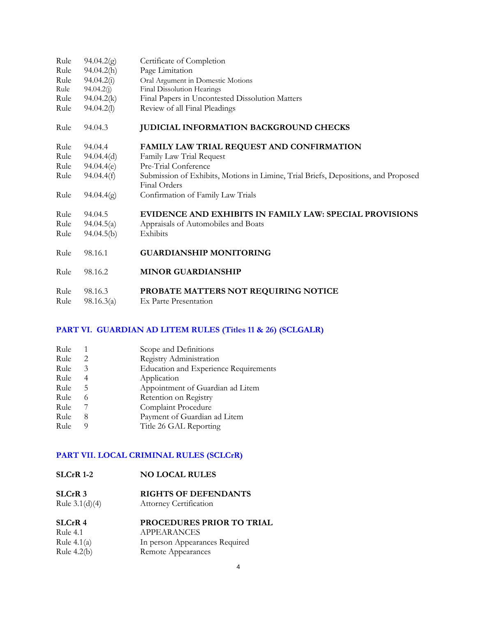| Rule         | 94.04.2(g)            | Certificate of Completion                                                                          |  |  |
|--------------|-----------------------|----------------------------------------------------------------------------------------------------|--|--|
| Rule         | 94.04.2(h)            | Page Limitation                                                                                    |  |  |
| Rule         | 94.04.2(i)            | Oral Argument in Domestic Motions                                                                  |  |  |
| Rule         | 94.04.2(j)            | Final Dissolution Hearings                                                                         |  |  |
| Rule         | 94.04.2(k)            | Final Papers in Uncontested Dissolution Matters                                                    |  |  |
| Rule         | 94.04.2(l)            | Review of all Final Pleadings                                                                      |  |  |
| Rule         | 94.04.3               | <b>JUDICIAL INFORMATION BACKGROUND CHECKS</b>                                                      |  |  |
| Rule         | 94.04.4               | FAMILY LAW TRIAL REQUEST AND CONFIRMATION                                                          |  |  |
| Rule         | 94.04.4(d)            | Family Law Trial Request                                                                           |  |  |
| Rule         | 94.04.4(e)            | Pre-Trial Conference                                                                               |  |  |
| Rule         | 94.04.4(f)            | Submission of Exhibits, Motions in Limine, Trial Briefs, Depositions, and Proposed<br>Final Orders |  |  |
| Rule         | 94.04.4(g)            | Confirmation of Family Law Trials                                                                  |  |  |
| Rule         | 94.04.5               | EVIDENCE AND EXHIBITS IN FAMILY LAW: SPECIAL PROVISIONS                                            |  |  |
| Rule         | 94.04.5(a)            | Appraisals of Automobiles and Boats                                                                |  |  |
| Rule         | 94.04.5(b)            | Exhibits                                                                                           |  |  |
| Rule         | 98.16.1               | <b>GUARDIANSHIP MONITORING</b>                                                                     |  |  |
| Rule         | 98.16.2               | <b>MINOR GUARDIANSHIP</b>                                                                          |  |  |
| Rule<br>Rule | 98.16.3<br>98.16.3(a) | PROBATE MATTERS NOT REQUIRING NOTICE<br>Ex Parte Presentation                                      |  |  |

# **[PART VI. GUARDIAN AD LITEM RULES \(Titles 11 & 26\) \(SCLGALR\)](#page-32-0)**

| Rule |   | Scope and Definitions                        |
|------|---|----------------------------------------------|
| Rule | 2 | Registry Administration                      |
| Rule | 3 | <b>Education and Experience Requirements</b> |
| Rule | 4 | Application                                  |
| Rule | 5 | Appointment of Guardian ad Litem             |
| Rule | 6 | Retention on Registry                        |
| Rule |   | Complaint Procedure                          |
| Rule | 8 | Payment of Guardian ad Litem                 |
| Rule | 9 | Title 26 GAL Reporting                       |
|      |   |                                              |

# **[PART VII. LOCAL CRIMINAL RULES \(SCLCrR\)](#page-37-0)**

# **SLCrR 3 RIGHTS OF DEFENDANTS**

Rule 3.1(d)(4) Attorney Certification

| <b>PROCEDURES PRIOR TO TRIAL</b> |  |
|----------------------------------|--|
| APPEARANCES                      |  |
| In person Appearances Required   |  |
| Remote Appearances               |  |
|                                  |  |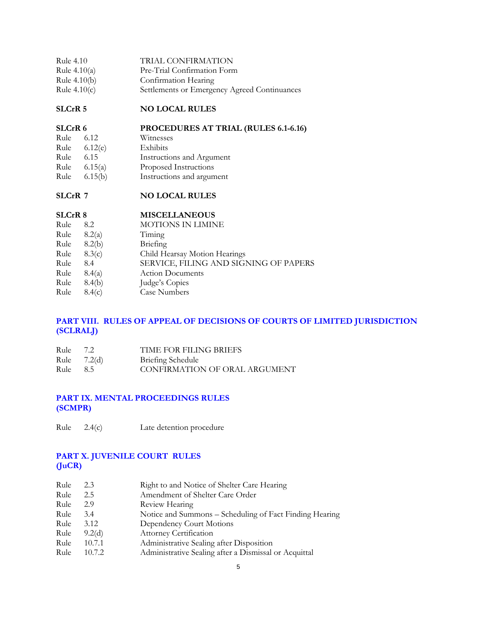| Rule 4.10      | TRIAL CONFIRMATION                           |
|----------------|----------------------------------------------|
| Rule $4.10(a)$ | Pre-Trial Confirmation Form                  |
| Rule $4.10(b)$ | Confirmation Hearing                         |
| Rule $4.10(c)$ | Settlements or Emergency Agreed Continuances |

# **SLCrR 5 NO LOCAL RULES**

## **SLCrR 6 PROCEDURES AT TRIAL (RULES 6.1-6.16)**

| Rule | 6.12    | Witnesses                 |
|------|---------|---------------------------|
| Rule | 6.12(e) | Exhibits                  |
| Rule | 6.15    | Instructions and Argument |
| Rule | 6.15(a) | Proposed Instructions     |
| Rule | 6.15(b) | Instructions and argument |

# **SLCrR 7 NO LOCAL RULES**

# **SLCrR 8 MISCELLANEOUS**

| Rule | 8.2    | MOTIONS IN LIMINE                     |
|------|--------|---------------------------------------|
| Rule | 8.2(a) | Timing                                |
| Rule | 8.2(b) | Briefing                              |
| Rule | 8.3(c) | Child Hearsay Motion Hearings         |
| Rule | 8.4    | SERVICE, FILING AND SIGNING OF PAPERS |
| Rule | 8.4(a) | <b>Action Documents</b>               |
| Rule | 8.4(b) | Judge's Copies                        |
| Rule | 8.4(c) | <b>Case Numbers</b>                   |
|      |        |                                       |

# **[PART VIII. RULES OF APPEAL OF DECISIONS OF COURTS OF LIMITED JURISDICTION](#page-40-0)  (SCLRALJ)**

| Rule 7.2 |               | <b>TIME FOR FILING BRIEFS</b> |
|----------|---------------|-------------------------------|
|          | Rule $7.2(d)$ | Briefing Schedule             |
| Rule     | - 8.5         | CONFIRMATION OF ORAL ARGUMENT |

## **PART [IX. MENTAL PROCEEDINGS RULES](#page-40-0) (SCMPR)**

| Rule<br>2.4(c) | Late detention procedure |  |
|----------------|--------------------------|--|
|----------------|--------------------------|--|

# **PART [X. JUVENILE COURT RULES](#page-41-0) (JuCR)**

| Rule | 2.3    | Right to and Notice of Shelter Care Hearing             |  |  |
|------|--------|---------------------------------------------------------|--|--|
| Rule | 2.5    | Amendment of Shelter Care Order                         |  |  |
| Rule | 2.9    | Review Hearing                                          |  |  |
| Rule | 3.4    | Notice and Summons - Scheduling of Fact Finding Hearing |  |  |
| Rule | 3.12   | Dependency Court Motions                                |  |  |
| Rule | 9.2(d) | Attorney Certification                                  |  |  |
| Rule | 10.7.1 | Administrative Sealing after Disposition                |  |  |
| Rule | 10.7.2 | Administrative Sealing after a Dismissal or Acquittal   |  |  |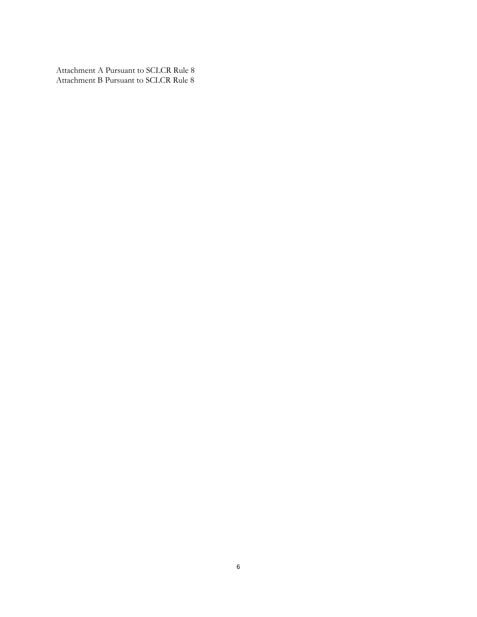Attachment A Pursuant to SCLCR Rule 8 Attachment B Pursuant to SCLCR Rule 8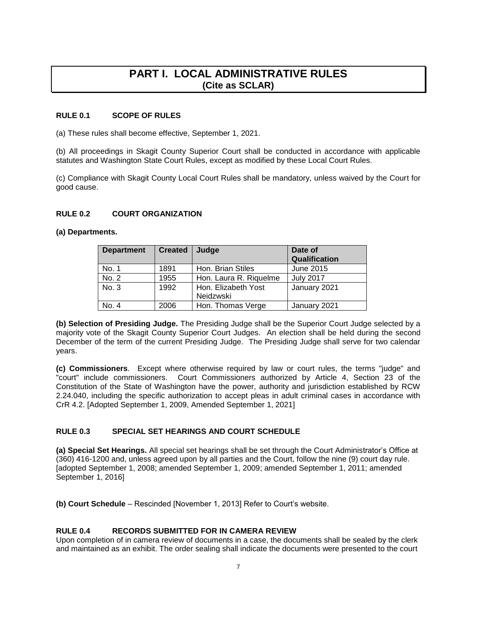# **PART I. LOCAL ADMINISTRATIVE RULES (Cite as SCLAR)**

#### <span id="page-6-0"></span>**RULE 0.1 SCOPE OF RULES**

(a) These rules shall become effective, September 1, 2021.

(b) All proceedings in Skagit County Superior Court shall be conducted in accordance with applicable statutes and Washington State Court Rules, except as modified by these Local Court Rules.

(c) Compliance with Skagit County Local Court Rules shall be mandatory, unless waived by the Court for good cause.

### **RULE 0.2 COURT ORGANIZATION**

**(a) Departments.**

| <b>Department</b> | <b>Created</b> | Judge                            | Date of<br>Qualification |
|-------------------|----------------|----------------------------------|--------------------------|
| No. 1             | 1891           | Hon. Brian Stiles                | June 2015                |
| No. 2             | 1955           | Hon. Laura R. Riquelme           | <b>July 2017</b>         |
| No. 3             | 1992           | Hon. Elizabeth Yost<br>Neidzwski | January 2021             |
| No. 4             | 2006           | Hon. Thomas Verge                | January 2021             |

**(b) Selection of Presiding Judge.** The Presiding Judge shall be the Superior Court Judge selected by a majority vote of the Skagit County Superior Court Judges. An election shall be held during the second December of the term of the current Presiding Judge. The Presiding Judge shall serve for two calendar years.

**(c) Commissioners**. Except where otherwise required by law or court rules, the terms "judge" and "court" include commissioners. Court Commissioners authorized by Article 4, Section 23 of the Constitution of the State of Washington have the power, authority and jurisdiction established by RCW 2.24.040, including the specific authorization to accept pleas in adult criminal cases in accordance with CrR 4.2. [Adopted September 1, 2009, Amended September 1, 2021]

## **RULE 0.3 SPECIAL SET HEARINGS AND COURT SCHEDULE**

**(a) Special Set Hearings.** All special set hearings shall be set through the Court Administrator's Office at (360) 416-1200 and, unless agreed upon by all parties and the Court, follow the nine (9) court day rule. [adopted September 1, 2008; amended September 1, 2009; amended September 1, 2011; amended September 1, 2016]

**(b) Court Schedule** – Rescinded [November 1, 2013] Refer to Court's website.

## **RULE 0.4 RECORDS SUBMITTED FOR IN CAMERA REVIEW**

Upon completion of in camera review of documents in a case, the documents shall be sealed by the clerk and maintained as an exhibit. The order sealing shall indicate the documents were presented to the court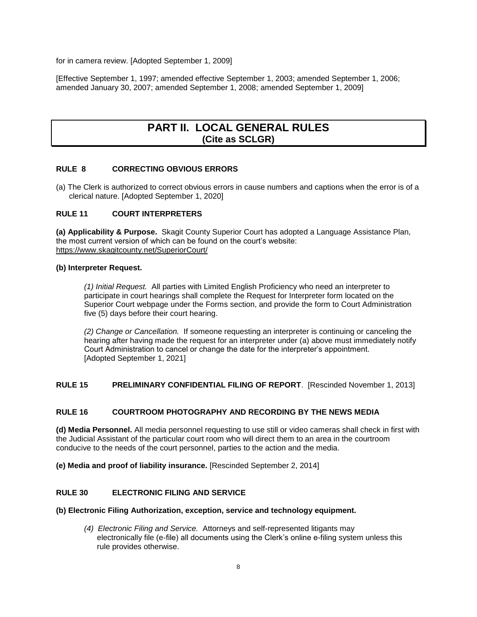<span id="page-7-0"></span>for in camera review. [Adopted September 1, 2009]

[Effective September 1, 1997; amended effective September 1, 2003; amended September 1, 2006; amended January 30, 2007; amended September 1, 2008; amended September 1, 2009]

# **PART II. LOCAL GENERAL RULES (Cite as SCLGR)**

## **RULE 8 CORRECTING OBVIOUS ERRORS**

(a) The Clerk is authorized to correct obvious errors in cause numbers and captions when the error is of a clerical nature. [Adopted September 1, 2020]

## **RULE 11 COURT INTERPRETERS**

**(a) Applicability & Purpose.** Skagit County Superior Court has adopted a Language Assistance Plan, the most current version of which can be found on the court's website: <https://www.skagitcounty.net/SuperiorCourt/>

#### **(b) Interpreter Request.**

*(1) Initial Request.* All parties with Limited English Proficiency who need an interpreter to participate in court hearings shall complete the Request for Interpreter form located on the Superior Court webpage under the Forms section, and provide the form to Court Administration five (5) days before their court hearing.

*(2) Change or Cancellation.* If someone requesting an interpreter is continuing or canceling the hearing after having made the request for an interpreter under (a) above must immediately notify Court Administration to cancel or change the date for the interpreter's appointment. [Adopted September 1, 2021]

**RULE 15 PRELIMINARY CONFIDENTIAL FILING OF REPORT**. [Rescinded November 1, 2013]

## **RULE 16 COURTROOM PHOTOGRAPHY AND RECORDING BY THE NEWS MEDIA**

**(d) Media Personnel.** All media personnel requesting to use still or video cameras shall check in first with the Judicial Assistant of the particular court room who will direct them to an area in the courtroom conducive to the needs of the court personnel, parties to the action and the media.

**(e) Media and proof of liability insurance.** [Rescinded September 2, 2014]

## **RULE 30 ELECTRONIC FILING AND SERVICE**

#### **(b) Electronic Filing Authorization, exception, service and technology equipment.**

*(4) Electronic Filing and Service.* Attorneys and self-represented litigants may electronically file (e-file) all documents using the Clerk's online e-filing system unless this rule provides otherwise.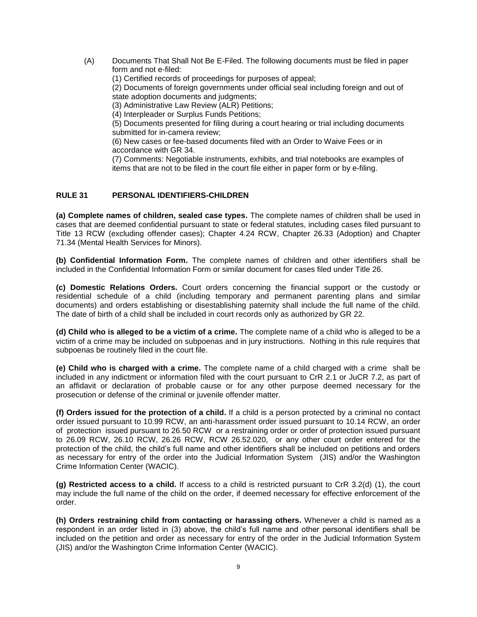(A) Documents That Shall Not Be E-Filed. The following documents must be filed in paper form and not e-filed:

(1) Certified records of proceedings for purposes of appeal;

(2) Documents of foreign governments under official seal including foreign and out of state adoption documents and judgments;

(3) Administrative Law Review (ALR) Petitions;

(4) Interpleader or Surplus Funds Petitions;

(5) Documents presented for filing during a court hearing or trial including documents submitted for in-camera review;

(6) New cases or fee-based documents filed with an Order to Waive Fees or in accordance with GR 34.

(7) Comments: Negotiable instruments, exhibits, and trial notebooks are examples of items that are not to be filed in the court file either in paper form or by e-filing.

### **RULE 31 PERSONAL IDENTIFIERS-CHILDREN**

**(a) Complete names of children, sealed case types.** The complete names of children shall be used in cases that are deemed confidential pursuant to state or federal statutes, including cases filed pursuant to Title 13 RCW (excluding offender cases); Chapter 4.24 RCW, Chapter 26.33 (Adoption) and Chapter 71.34 (Mental Health Services for Minors).

**(b) Confidential Information Form.** The complete names of children and other identifiers shall be included in the Confidential Information Form or similar document for cases filed under Title 26.

**(c) Domestic Relations Orders.** Court orders concerning the financial support or the custody or residential schedule of a child (including temporary and permanent parenting plans and similar documents) and orders establishing or disestablishing paternity shall include the full name of the child. The date of birth of a child shall be included in court records only as authorized by GR 22.

**(d) Child who is alleged to be a victim of a crime.** The complete name of a child who is alleged to be a victim of a crime may be included on subpoenas and in jury instructions. Nothing in this rule requires that subpoenas be routinely filed in the court file.

**(e) Child who is charged with a crime.** The complete name of a child charged with a crime shall be included in any indictment or information filed with the court pursuant to CrR 2.1 or JuCR 7.2, as part of an affidavit or declaration of probable cause or for any other purpose deemed necessary for the prosecution or defense of the criminal or juvenile offender matter.

**(f) Orders issued for the protection of a child.** If a child is a person protected by a criminal no contact order issued pursuant to 10.99 RCW, an anti-harassment order issued pursuant to 10.14 RCW, an order of protection issued pursuant to 26.50 RCW or a restraining order or order of protection issued pursuant to 26.09 RCW, 26.10 RCW, 26.26 RCW, RCW 26.52.020, or any other court order entered for the protection of the child, the child's full name and other identifiers shall be included on petitions and orders as necessary for entry of the order into the Judicial Information System (JIS) and/or the Washington Crime Information Center (WACIC).

**(g) Restricted access to a child.** If access to a child is restricted pursuant to CrR 3.2(d) (1), the court may include the full name of the child on the order, if deemed necessary for effective enforcement of the order.

**(h) Orders restraining child from contacting or harassing others.** Whenever a child is named as a respondent in an order listed in (3) above, the child's full name and other personal identifiers shall be included on the petition and order as necessary for entry of the order in the Judicial Information System (JIS) and/or the Washington Crime Information Center (WACIC).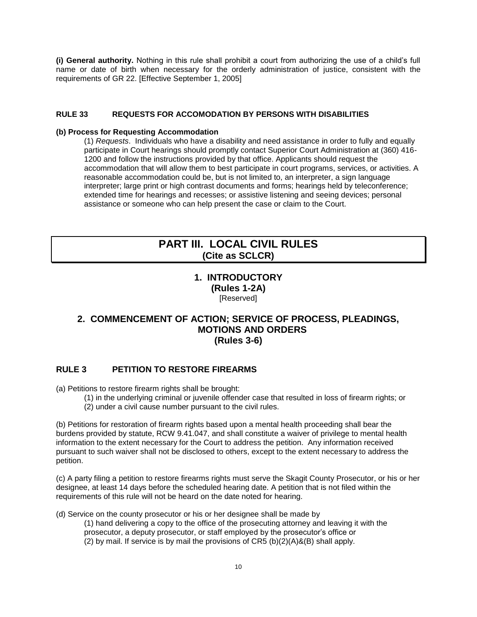<span id="page-9-0"></span>**(i) General authority.** Nothing in this rule shall prohibit a court from authorizing the use of a child's full name or date of birth when necessary for the orderly administration of justice, consistent with the requirements of GR 22. [Effective September 1, 2005]

### **RULE 33 REQUESTS FOR ACCOMODATION BY PERSONS WITH DISABILITIES**

#### **(b) Process for Requesting Accommodation**

(1) *Requests*. Individuals who have a disability and need assistance in order to fully and equally participate in Court hearings should promptly contact Superior Court Administration at (360) 416- 1200 and follow the instructions provided by that office. Applicants should request the accommodation that will allow them to best participate in court programs, services, or activities. A reasonable accommodation could be, but is not limited to, an interpreter, a sign language interpreter; large print or high contrast documents and forms; hearings held by teleconference; extended time for hearings and recesses; or assistive listening and seeing devices; personal assistance or someone who can help present the case or claim to the Court.

# **PART III. LOCAL CIVIL RULES (Cite as SCLCR)**

## **1. INTRODUCTORY (Rules 1-2A)**  [Reserved]

# **2. COMMENCEMENT OF ACTION; SERVICE OF PROCESS, PLEADINGS, MOTIONS AND ORDERS (Rules 3-6)**

## **RULE 3 PETITION TO RESTORE FIREARMS**

(a) Petitions to restore firearm rights shall be brought:

- (1) in the underlying criminal or juvenile offender case that resulted in loss of firearm rights; or
- (2) under a civil cause number pursuant to the civil rules.

(b) Petitions for restoration of firearm rights based upon a mental health proceeding shall bear the burdens provided by statute, RCW 9.41.047, and shall constitute a waiver of privilege to mental health information to the extent necessary for the Court to address the petition. Any information received pursuant to such waiver shall not be disclosed to others, except to the extent necessary to address the petition.

(c) A party filing a petition to restore firearms rights must serve the Skagit County Prosecutor, or his or her designee, at least 14 days before the scheduled hearing date. A petition that is not filed within the requirements of this rule will not be heard on the date noted for hearing.

(d) Service on the county prosecutor or his or her designee shall be made by

- (1) hand delivering a copy to the office of the prosecuting attorney and leaving it with the
- prosecutor, a deputy prosecutor, or staff employed by the prosecutor's office or
- (2) by mail. If service is by mail the provisions of  $CR5$  (b) $(2)(A)$ &(B) shall apply.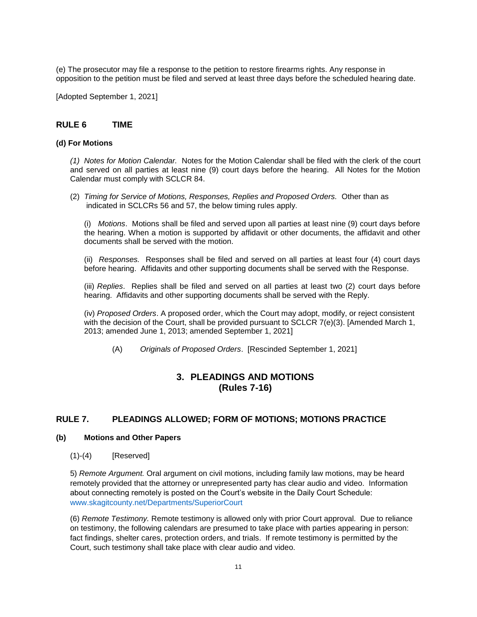(e) The prosecutor may file a response to the petition to restore firearms rights. Any response in opposition to the petition must be filed and served at least three days before the scheduled hearing date.

[Adopted September 1, 2021]

### **RULE 6 TIME**

#### **(d) For Motions**

*(1) Notes for Motion Calendar.*Notes for the Motion Calendar shall be filed with the clerk of the court and served on all parties at least nine (9) court days before the hearing. All Notes for the Motion Calendar must comply with SCLCR 84.

(2) *Timing for Service of Motions, Responses, Replies and Proposed Orders.* Other than as indicated in SCLCRs 56 and 57, the below timing rules apply.

(i) *Motions*. Motions shall be filed and served upon all parties at least nine (9) court days before the hearing. When a motion is supported by affidavit or other documents, the affidavit and other documents shall be served with the motion.

(ii) *Responses.* Responses shall be filed and served on all parties at least four (4) court days before hearing. Affidavits and other supporting documents shall be served with the Response.

(iii) *Replies*. Replies shall be filed and served on all parties at least two (2) court days before hearing. Affidavits and other supporting documents shall be served with the Reply.

(iv) *Proposed Orders*. A proposed order, which the Court may adopt, modify, or reject consistent with the decision of the Court, shall be provided pursuant to SCLCR 7(e)(3). [Amended March 1, 2013; amended June 1, 2013; amended September 1, 2021]

(A) *Originals of Proposed Orders*. [Rescinded September 1, 2021]

## **3. PLEADINGS AND MOTIONS (Rules 7-16)**

## **RULE 7. PLEADINGS ALLOWED; FORM OF MOTIONS; MOTIONS PRACTICE**

#### **(b) Motions and Other Papers**

 $(1)-(4)$  [Reserved]

5) *Remote Argument.* Oral argument on civil motions, including family law motions, may be heard remotely provided that the attorney or unrepresented party has clear audio and video. Information about connecting remotely is posted on the Court's website in the Daily Court Schedule: [www.skagitcounty.net/Departments/SuperiorCourt](http://www.skagitcounty.net/Departments/SuperiorCourt)

(6) *Remote Testimony.* Remote testimony is allowed only with prior Court approval. Due to reliance on testimony, the following calendars are presumed to take place with parties appearing in person: fact findings, shelter cares, protection orders, and trials. If remote testimony is permitted by the Court, such testimony shall take place with clear audio and video.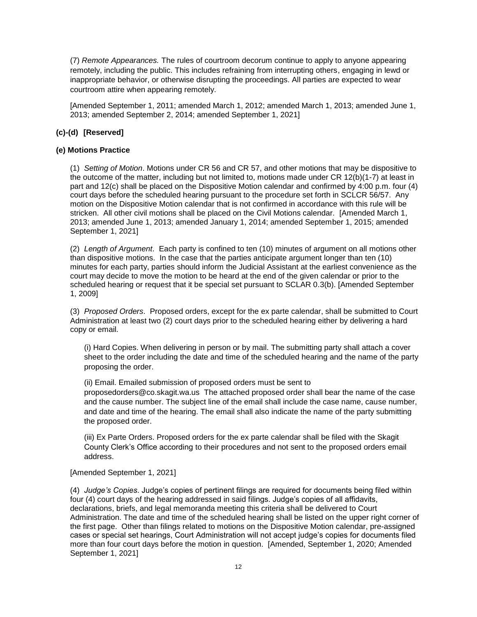(7) *Remote Appearances.* The rules of courtroom decorum continue to apply to anyone appearing remotely, including the public. This includes refraining from interrupting others, engaging in lewd or inappropriate behavior, or otherwise disrupting the proceedings. All parties are expected to wear courtroom attire when appearing remotely.

[Amended September 1, 2011; amended March 1, 2012; amended March 1, 2013; amended June 1, 2013; amended September 2, 2014; amended September 1, 2021]

## **(c)-(d) [Reserved]**

### **(e) Motions Practice**

(1) *Setting of Motion*. Motions under CR 56 and CR 57, and other motions that may be dispositive to the outcome of the matter, including but not limited to, motions made under CR 12(b)(1-7) at least in part and 12(c) shall be placed on the Dispositive Motion calendar and confirmed by 4:00 p.m. four (4) court days before the scheduled hearing pursuant to the procedure set forth in SCLCR 56/57. Any motion on the Dispositive Motion calendar that is not confirmed in accordance with this rule will be stricken. All other civil motions shall be placed on the Civil Motions calendar. [Amended March 1, 2013; amended June 1, 2013; amended January 1, 2014; amended September 1, 2015; amended September 1, 2021]

(2) *Length of Argument*. Each party is confined to ten (10) minutes of argument on all motions other than dispositive motions. In the case that the parties anticipate argument longer than ten (10) minutes for each party, parties should inform the Judicial Assistant at the earliest convenience as the court may decide to move the motion to be heard at the end of the given calendar or prior to the scheduled hearing or request that it be special set pursuant to SCLAR 0.3(b). [Amended September 1, 2009]

(3) *Proposed Orders*. Proposed orders, except for the ex parte calendar, shall be submitted to Court Administration at least two (2) court days prior to the scheduled hearing either by delivering a hard copy or email.

(i) Hard Copies. When delivering in person or by mail. The submitting party shall attach a cover sheet to the order including the date and time of the scheduled hearing and the name of the party proposing the order.

(ii) Email. Emailed submission of proposed orders must be sent to [proposedorders@co.skagit.wa.us](mailto:proposedorders@co.skagit.wa.us) The attached proposed order shall bear the name of the case and the cause number. The subject line of the email shall include the case name, cause number, and date and time of the hearing. The email shall also indicate the name of the party submitting the proposed order.

(iii) Ex Parte Orders. Proposed orders for the ex parte calendar shall be filed with the Skagit County Clerk's Office according to their procedures and not sent to the proposed orders email address.

#### [Amended September 1, 2021]

(4) *Judge's Copies*. Judge's copies of pertinent filings are required for documents being filed within four (4) court days of the hearing addressed in said filings. Judge's copies of all affidavits, declarations, briefs, and legal memoranda meeting this criteria shall be delivered to Court Administration. The date and time of the scheduled hearing shall be listed on the upper right corner of the first page. Other than filings related to motions on the Dispositive Motion calendar, pre-assigned cases or special set hearings, Court Administration will not accept judge's copies for documents filed more than four court days before the motion in question. [Amended, September 1, 2020; Amended September 1, 2021]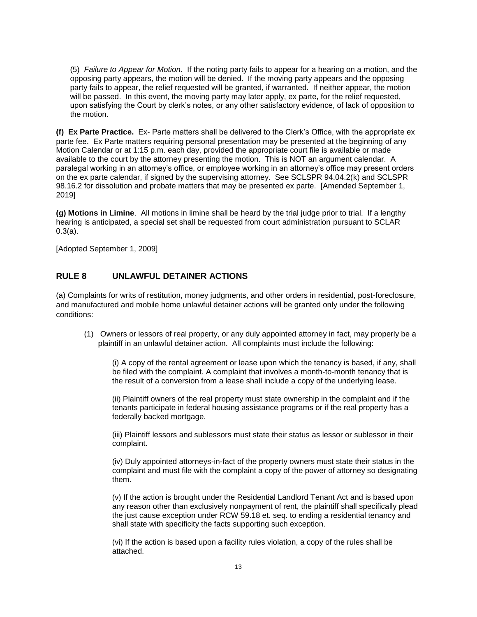(5) *Failure to Appear for Motion*. If the noting party fails to appear for a hearing on a motion, and the opposing party appears, the motion will be denied. If the moving party appears and the opposing party fails to appear, the relief requested will be granted, if warranted. If neither appear, the motion will be passed. In this event, the moving party may later apply, ex parte, for the relief requested, upon satisfying the Court by clerk's notes, or any other satisfactory evidence, of lack of opposition to the motion.

**(f) Ex Parte Practice.** Ex- Parte matters shall be delivered to the Clerk's Office, with the appropriate ex parte fee. Ex Parte matters requiring personal presentation may be presented at the beginning of any Motion Calendar or at 1:15 p.m. each day, provided the appropriate court file is available or made available to the court by the attorney presenting the motion. This is NOT an argument calendar. A paralegal working in an attorney's office, or employee working in an attorney's office may present orders on the ex parte calendar, if signed by the supervising attorney. See SCLSPR 94.04.2(k) and SCLSPR 98.16.2 for dissolution and probate matters that may be presented ex parte. [Amended September 1, 2019]

**(g) Motions in Limine**. All motions in limine shall be heard by the trial judge prior to trial. If a lengthy hearing is anticipated, a special set shall be requested from court administration pursuant to SCLAR 0.3(a).

[Adopted September 1, 2009]

## **RULE 8 UNLAWFUL DETAINER ACTIONS**

(a) Complaints for writs of restitution, money judgments, and other orders in residential, post-foreclosure, and manufactured and mobile home unlawful detainer actions will be granted only under the following conditions:

(1) Owners or lessors of real property, or any duly appointed attorney in fact, may properly be a plaintiff in an unlawful detainer action. All complaints must include the following:

(i) A copy of the rental agreement or lease upon which the tenancy is based, if any, shall be filed with the complaint. A complaint that involves a month-to-month tenancy that is the result of a conversion from a lease shall include a copy of the underlying lease.

(ii) Plaintiff owners of the real property must state ownership in the complaint and if the tenants participate in federal housing assistance programs or if the real property has a federally backed mortgage.

(iii) Plaintiff lessors and sublessors must state their status as lessor or sublessor in their complaint.

(iv) Duly appointed attorneys-in-fact of the property owners must state their status in the complaint and must file with the complaint a copy of the power of attorney so designating them.

(v) If the action is brought under the Residential Landlord Tenant Act and is based upon any reason other than exclusively nonpayment of rent, the plaintiff shall specifically plead the just cause exception under RCW 59.18 et. seq. to ending a residential tenancy and shall state with specificity the facts supporting such exception.

(vi) If the action is based upon a facility rules violation, a copy of the rules shall be attached.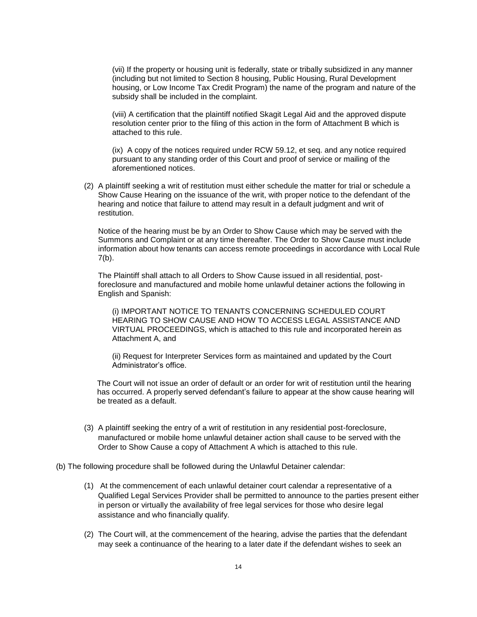(vii) If the property or housing unit is federally, state or tribally subsidized in any manner (including but not limited to Section 8 housing, Public Housing, Rural Development housing, or Low Income Tax Credit Program) the name of the program and nature of the subsidy shall be included in the complaint.

(viii) A certification that the plaintiff notified Skagit Legal Aid and the approved dispute resolution center prior to the filing of this action in the form of Attachment B which is attached to this rule.

(ix) A copy of the notices required under RCW 59.12, et seq. and any notice required pursuant to any standing order of this Court and proof of service or mailing of the aforementioned notices.

(2) A plaintiff seeking a writ of restitution must either schedule the matter for trial or schedule a Show Cause Hearing on the issuance of the writ, with proper notice to the defendant of the hearing and notice that failure to attend may result in a default judgment and writ of restitution.

Notice of the hearing must be by an Order to Show Cause which may be served with the Summons and Complaint or at any time thereafter. The Order to Show Cause must include information about how tenants can access remote proceedings in accordance with Local Rule  $7(b)$ .

The Plaintiff shall attach to all Orders to Show Cause issued in all residential, postforeclosure and manufactured and mobile home unlawful detainer actions the following in English and Spanish:

(i) IMPORTANT NOTICE TO TENANTS CONCERNING SCHEDULED COURT HEARING TO SHOW CAUSE AND HOW TO ACCESS LEGAL ASSISTANCE AND VIRTUAL PROCEEDINGS, which is attached to this rule and incorporated herein as Attachment A, and

(ii) Request for Interpreter Services form as maintained and updated by the Court Administrator's office.

The Court will not issue an order of default or an order for writ of restitution until the hearing has occurred. A properly served defendant's failure to appear at the show cause hearing will be treated as a default.

(3) A plaintiff seeking the entry of a writ of restitution in any residential post-foreclosure, manufactured or mobile home unlawful detainer action shall cause to be served with the Order to Show Cause a copy of Attachment A which is attached to this rule.

(b) The following procedure shall be followed during the Unlawful Detainer calendar:

- (1) At the commencement of each unlawful detainer court calendar a representative of a Qualified Legal Services Provider shall be permitted to announce to the parties present either in person or virtually the availability of free legal services for those who desire legal assistance and who financially qualify.
- (2) The Court will, at the commencement of the hearing, advise the parties that the defendant may seek a continuance of the hearing to a later date if the defendant wishes to seek an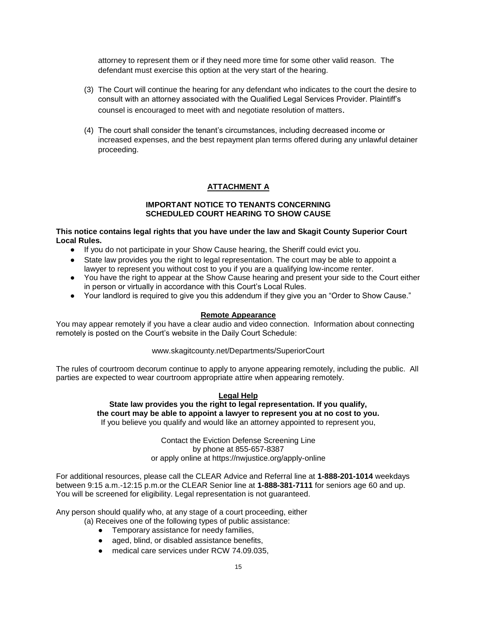attorney to represent them or if they need more time for some other valid reason. The defendant must exercise this option at the very start of the hearing.

- (3) The Court will continue the hearing for any defendant who indicates to the court the desire to consult with an attorney associated with the Qualified Legal Services Provider. Plaintiff's counsel is encouraged to meet with and negotiate resolution of matters.
- (4) The court shall consider the tenant's circumstances, including decreased income or increased expenses, and the best repayment plan terms offered during any unlawful detainer proceeding.

# **ATTACHMENT A**

#### **IMPORTANT NOTICE TO TENANTS CONCERNING SCHEDULED COURT HEARING TO SHOW CAUSE**

#### **This notice contains legal rights that you have under the law and Skagit County Superior Court Local Rules.**

- If you do not participate in your Show Cause hearing, the Sheriff could evict you.
- State law provides you the right to legal representation. The court may be able to appoint a lawyer to represent you without cost to you if you are a qualifying low-income renter.
- You have the right to appear at the Show Cause hearing and present your side to the Court either in person or virtually in accordance with this Court's Local Rules.
- Your landlord is required to give you this addendum if they give you an "Order to Show Cause."

#### **Remote Appearance**

You may appear remotely if you have a clear audio and video connection. Information about connecting remotely is posted on the Court's website in the Daily Court Schedule:

#### [www.skagitcounty.net/Departments/SuperiorCourt](http://www.skagitcounty.net/Departments/SuperiorCourt)

The rules of courtroom decorum continue to apply to anyone appearing remotely, including the public. All parties are expected to wear courtroom appropriate attire when appearing remotely.

#### **Legal Help**

### **State law provides you the right to legal representation. If you qualify, the court may be able to appoint a lawyer to represent you at no cost to you.**  If you believe you qualify and would like an attorney appointed to represent you,

Contact the Eviction Defense Screening Line by phone at 855-657-8387 or apply online at https://nwjustice.org/apply-online

For additional resources, please call the CLEAR Advice and Referral line at **1-888-201-1014** weekdays between 9:15 a.m.-12:15 p.m.or the CLEAR Senior line at **1-888-381-7111** for seniors age 60 and up. You will be screened for eligibility. Legal representation is not guaranteed.

Any person should qualify who, at any stage of a court proceeding, either

- (a) Receives one of the following types of public assistance:
	- Temporary assistance for needy families,
	- aged, blind, or disabled assistance benefits,
	- medical care services under RCW 74.09.035,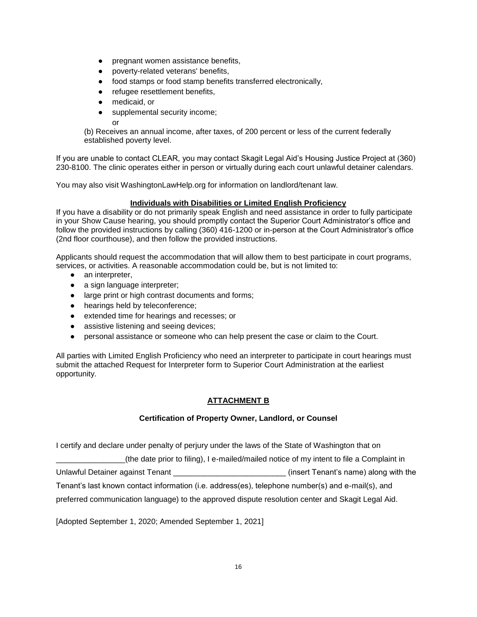- pregnant women assistance benefits,
- poverty-related veterans' benefits,
- food stamps or food stamp benefits transferred electronically,
- refugee resettlement benefits,
- medicaid, or
- supplemental security income;

or

(b) Receives an annual income, after taxes, of 200 percent or less of the current federally established poverty level.

If you are unable to contact CLEAR, you may contact Skagit Legal Aid's Housing Justice Project at (360) 230-8100. The clinic operates either in person or virtually during each court unlawful detainer calendars.

You may also visit WashingtonLawHelp.org for information on landlord/tenant law.

### **Individuals with Disabilities or Limited English Proficiency**

If you have a disability or do not primarily speak English and need assistance in order to fully participate in your Show Cause hearing, you should promptly contact the Superior Court Administrator's office and follow the provided instructions by calling (360) 416-1200 or in-person at the Court Administrator's office (2nd floor courthouse), and then follow the provided instructions.

Applicants should request the accommodation that will allow them to best participate in court programs, services, or activities. A reasonable accommodation could be, but is not limited to:

- an interpreter,
- a sign language interpreter;
- large print or high contrast documents and forms;
- hearings held by teleconference;
- extended time for hearings and recesses; or
- assistive listening and seeing devices;
- personal assistance or someone who can help present the case or claim to the Court.

All parties with Limited English Proficiency who need an interpreter to participate in court hearings must submit the attached Request for Interpreter form to Superior Court Administration at the earliest opportunity.

## **ATTACHMENT B**

#### **Certification of Property Owner, Landlord, or Counsel**

I certify and declare under penalty of perjury under the laws of the State of Washington that on

\_\_\_\_\_\_\_\_\_\_\_\_\_\_\_\_(the date prior to filing), I e-mailed/mailed notice of my intent to file a Complaint in

Unlawful Detainer against Tenant \_\_\_\_\_\_\_\_\_\_\_\_\_\_\_\_\_\_\_\_\_\_\_\_\_\_ (insert Tenant's name) along with the

Tenant's last known contact information (i.e. address(es), telephone number(s) and e-mail(s), and

preferred communication language) to the approved dispute resolution center and Skagit Legal Aid.

[Adopted September 1, 2020; Amended September 1, 2021]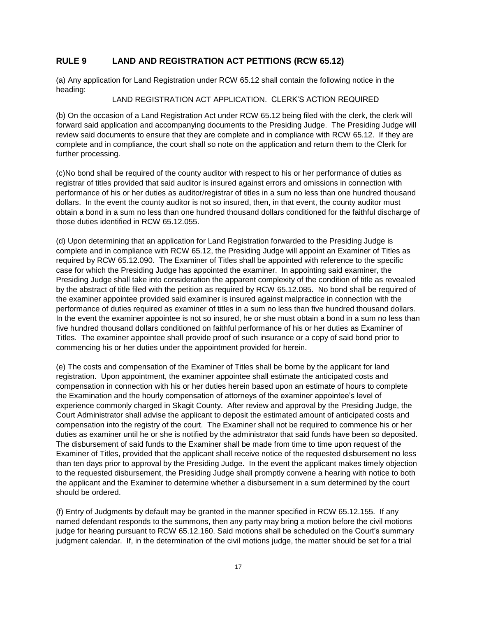## **RULE 9 LAND AND REGISTRATION ACT PETITIONS (RCW 65.12)**

(a) Any application for Land Registration under RCW 65.12 shall contain the following notice in the heading:

#### LAND REGISTRATION ACT APPLICATION. CLERK'S ACTION REQUIRED

(b) On the occasion of a Land Registration Act under RCW 65.12 being filed with the clerk, the clerk will forward said application and accompanying documents to the Presiding Judge. The Presiding Judge will review said documents to ensure that they are complete and in compliance with RCW 65.12. If they are complete and in compliance, the court shall so note on the application and return them to the Clerk for further processing.

(c)No bond shall be required of the county auditor with respect to his or her performance of duties as registrar of titles provided that said auditor is insured against errors and omissions in connection with performance of his or her duties as auditor/registrar of titles in a sum no less than one hundred thousand dollars. In the event the county auditor is not so insured, then, in that event, the county auditor must obtain a bond in a sum no less than one hundred thousand dollars conditioned for the faithful discharge of those duties identified in RCW 65.12.055.

(d) Upon determining that an application for Land Registration forwarded to the Presiding Judge is complete and in compliance with RCW 65.12, the Presiding Judge will appoint an Examiner of Titles as required by RCW 65.12.090. The Examiner of Titles shall be appointed with reference to the specific case for which the Presiding Judge has appointed the examiner. In appointing said examiner, the Presiding Judge shall take into consideration the apparent complexity of the condition of title as revealed by the abstract of title filed with the petition as required by RCW 65.12.085. No bond shall be required of the examiner appointee provided said examiner is insured against malpractice in connection with the performance of duties required as examiner of titles in a sum no less than five hundred thousand dollars. In the event the examiner appointee is not so insured, he or she must obtain a bond in a sum no less than five hundred thousand dollars conditioned on faithful performance of his or her duties as Examiner of Titles. The examiner appointee shall provide proof of such insurance or a copy of said bond prior to commencing his or her duties under the appointment provided for herein.

(e) The costs and compensation of the Examiner of Titles shall be borne by the applicant for land registration. Upon appointment, the examiner appointee shall estimate the anticipated costs and compensation in connection with his or her duties herein based upon an estimate of hours to complete the Examination and the hourly compensation of attorneys of the examiner appointee's level of experience commonly charged in Skagit County. After review and approval by the Presiding Judge, the Court Administrator shall advise the applicant to deposit the estimated amount of anticipated costs and compensation into the registry of the court. The Examiner shall not be required to commence his or her duties as examiner until he or she is notified by the administrator that said funds have been so deposited. The disbursement of said funds to the Examiner shall be made from time to time upon request of the Examiner of Titles, provided that the applicant shall receive notice of the requested disbursement no less than ten days prior to approval by the Presiding Judge. In the event the applicant makes timely objection to the requested disbursement, the Presiding Judge shall promptly convene a hearing with notice to both the applicant and the Examiner to determine whether a disbursement in a sum determined by the court should be ordered.

(f) Entry of Judgments by default may be granted in the manner specified in RCW 65.12.155. If any named defendant responds to the summons, then any party may bring a motion before the civil motions judge for hearing pursuant to RCW 65.12.160. Said motions shall be scheduled on the Court's summary judgment calendar. If, in the determination of the civil motions judge, the matter should be set for a trial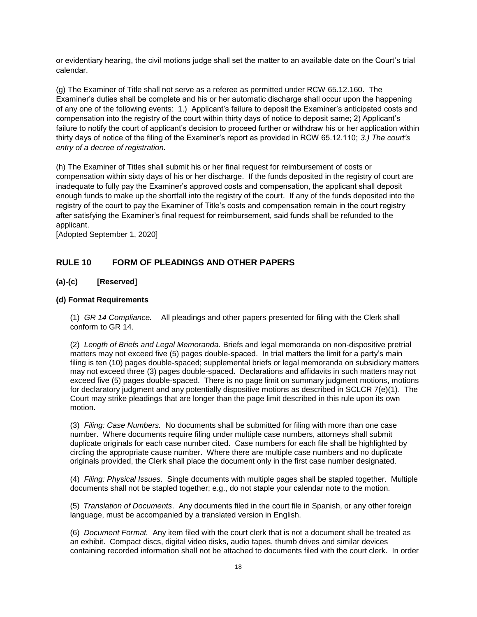or evidentiary hearing, the civil motions judge shall set the matter to an available date on the Court's trial calendar.

(g) The Examiner of Title shall not serve as a referee as permitted under RCW 65.12.160. The Examiner's duties shall be complete and his or her automatic discharge shall occur upon the happening of any one of the following events: 1.) Applicant's failure to deposit the Examiner's anticipated costs and compensation into the registry of the court within thirty days of notice to deposit same; 2) Applicant's failure to notify the court of applicant's decision to proceed further or withdraw his or her application within thirty days of notice of the filing of the Examiner's report as provided in RCW 65.12.110; *3.) The court's entry of a decree of registration.*

(h) The Examiner of Titles shall submit his or her final request for reimbursement of costs or compensation within sixty days of his or her discharge. If the funds deposited in the registry of court are inadequate to fully pay the Examiner's approved costs and compensation, the applicant shall deposit enough funds to make up the shortfall into the registry of the court. If any of the funds deposited into the registry of the court to pay the Examiner of Title's costs and compensation remain in the court registry after satisfying the Examiner's final request for reimbursement, said funds shall be refunded to the applicant.

[Adopted September 1, 2020]

### **RULE 10 FORM OF PLEADINGS AND OTHER PAPERS**

### **(a)-(c) [Reserved]**

#### **(d) Format Requirements**

(1) *GR 14 Compliance.* All pleadings and other papers presented for filing with the Clerk shall conform to GR 14.

(2) *Length of Briefs and Legal Memoranda.* Briefs and legal memoranda on non-dispositive pretrial matters may not exceed five (5) pages double-spaced. In trial matters the limit for a party's main filing is ten (10) pages double-spaced; supplemental briefs or legal memoranda on subsidiary matters may not exceed three (3) pages double-spaced**.** Declarations and affidavits in such matters may not exceed five (5) pages double-spaced. There is no page limit on summary judgment motions, motions for declaratory judgment and any potentially dispositive motions as described in SCLCR 7(e)(1). The Court may strike pleadings that are longer than the page limit described in this rule upon its own motion.

(3) *Filing: Case Numbers.* No documents shall be submitted for filing with more than one case number. Where documents require filing under multiple case numbers, attorneys shall submit duplicate originals for each case number cited. Case numbers for each file shall be highlighted by circling the appropriate cause number. Where there are multiple case numbers and no duplicate originals provided, the Clerk shall place the document only in the first case number designated.

(4) *Filing: Physical Issues.* Single documents with multiple pages shall be stapled together. Multiple documents shall not be stapled together; e.g., do not staple your calendar note to the motion.

(5) *Translation of Documents*. Any documents filed in the court file in Spanish, or any other foreign language, must be accompanied by a translated version in English.

(6) *Document Format.* Any item filed with the court clerk that is not a document shall be treated as an exhibit. Compact discs, digital video disks, audio tapes, thumb drives and similar devices containing recorded information shall not be attached to documents filed with the court clerk. In order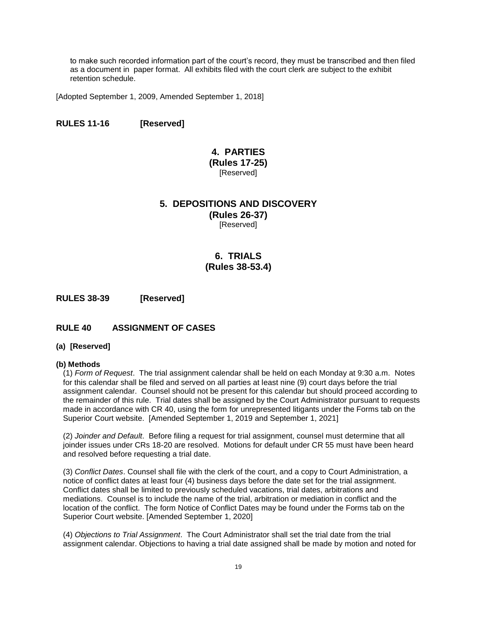to make such recorded information part of the court's record, they must be transcribed and then filed as a document in paper format. All exhibits filed with the court clerk are subject to the exhibit retention schedule.

[Adopted September 1, 2009, Amended September 1, 2018]

### **RULES 11-16 [Reserved]**

# **4. PARTIES**

**(Rules 17-25) [Reserved]** 

# **5. DEPOSITIONS AND DISCOVERY**

**(Rules 26-37)**  [Reserved]

# **6. TRIALS (Rules 38-53.4)**

**RULES 38-39 [Reserved]**

## **RULE 40 ASSIGNMENT OF CASES**

#### **(a) [Reserved]**

#### **(b) Methods**

(1) *Form of Request*. The trial assignment calendar shall be held on each Monday at 9:30 a.m. Notes for this calendar shall be filed and served on all parties at least nine (9) court days before the trial assignment calendar. Counsel should not be present for this calendar but should proceed according to the remainder of this rule. Trial dates shall be assigned by the Court Administrator pursuant to requests made in accordance with CR 40, using the form for unrepresented litigants under the Forms tab on the Superior Court website. [Amended September 1, 2019 and September 1, 2021]

(2) *Joinder and Default*. Before filing a request for trial assignment, counsel must determine that all joinder issues under CRs 18-20 are resolved. Motions for default under CR 55 must have been heard and resolved before requesting a trial date.

(3) *Conflict Dates*. Counsel shall file with the clerk of the court, and a copy to Court Administration, a notice of conflict dates at least four (4) business days before the date set for the trial assignment. Conflict dates shall be limited to previously scheduled vacations, trial dates, arbitrations and mediations. Counsel is to include the name of the trial, arbitration or mediation in conflict and the location of the conflict. The form Notice of Conflict Dates may be found under the Forms tab on the Superior Court website. [Amended September 1, 2020]

(4) *Objections to Trial Assignment*. The Court Administrator shall set the trial date from the trial assignment calendar. Objections to having a trial date assigned shall be made by motion and noted for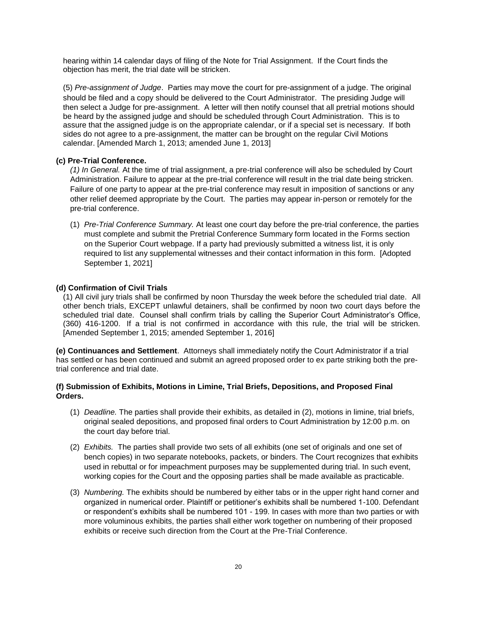hearing within 14 calendar days of filing of the Note for Trial Assignment. If the Court finds the objection has merit, the trial date will be stricken.

(5) *Pre-assignment of Judge*. Parties may move the court for pre-assignment of a judge. The original should be filed and a copy should be delivered to the Court Administrator. The presiding Judge will then select a Judge for pre-assignment. A letter will then notify counsel that all pretrial motions should be heard by the assigned judge and should be scheduled through Court Administration. This is to assure that the assigned judge is on the appropriate calendar, or if a special set is necessary. If both sides do not agree to a pre-assignment, the matter can be brought on the regular Civil Motions calendar. [Amended March 1, 2013; amended June 1, 2013]

#### **(c) Pre-Trial Conference.**

*(1) In General.* At the time of trial assignment, a pre-trial conference will also be scheduled by Court Administration. Failure to appear at the pre-trial conference will result in the trial date being stricken. Failure of one party to appear at the pre-trial conference may result in imposition of sanctions or any other relief deemed appropriate by the Court. The parties may appear in-person or remotely for the pre-trial conference.

(1) *Pre-Trial Conference Summary.* At least one court day before the pre-trial conference, the parties must complete and submit the Pretrial Conference Summary form located in the Forms section on the Superior Court webpage. If a party had previously submitted a witness list, it is only required to list any supplemental witnesses and their contact information in this form. [Adopted September 1, 2021]

#### **(d) Confirmation of Civil Trials**

(1) All civil jury trials shall be confirmed by noon Thursday the week before the scheduled trial date. All other bench trials, EXCEPT unlawful detainers, shall be confirmed by noon two court days before the scheduled trial date. Counsel shall confirm trials by calling the Superior Court Administrator's Office, (360) 416-1200. If a trial is not confirmed in accordance with this rule, the trial will be stricken. [Amended September 1, 2015; amended September 1, 2016]

**(e) Continuances and Settlement**. Attorneys shall immediately notify the Court Administrator if a trial has settled or has been continued and submit an agreed proposed order to ex parte striking both the pretrial conference and trial date.

#### **(f) Submission of Exhibits, Motions in Limine, Trial Briefs, Depositions, and Proposed Final Orders.**

- (1) *Deadline.* The parties shall provide their exhibits, as detailed in (2), motions in limine, trial briefs, original sealed depositions, and proposed final orders to Court Administration by 12:00 p.m. on the court day before trial.
- (2) *Exhibits.* The parties shall provide two sets of all exhibits (one set of originals and one set of bench copies) in two separate notebooks, packets, or binders. The Court recognizes that exhibits used in rebuttal or for impeachment purposes may be supplemented during trial. In such event, working copies for the Court and the opposing parties shall be made available as practicable.
- (3) *Numbering.* The exhibits should be numbered by either tabs or in the upper right hand corner and organized in numerical order. Plaintiff or petitioner's exhibits shall be numbered 1-100. Defendant or respondent's exhibits shall be numbered 101 - 199. In cases with more than two parties or with more voluminous exhibits, the parties shall either work together on numbering of their proposed exhibits or receive such direction from the Court at the Pre-Trial Conference.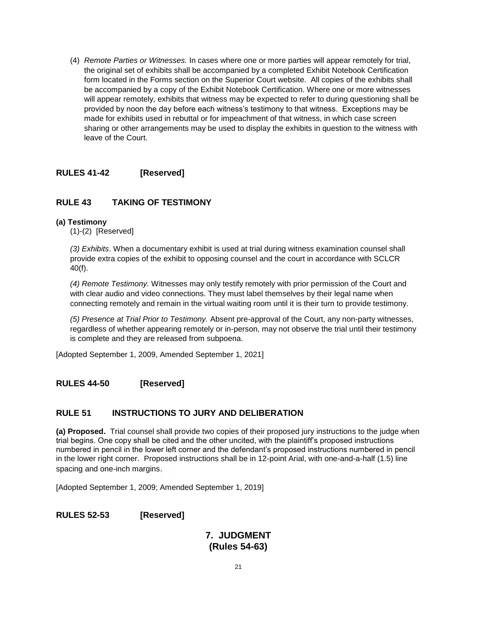(4) *Remote Parties or Witnesses.* In cases where one or more parties will appear remotely for trial, the original set of exhibits shall be accompanied by a completed Exhibit Notebook Certification form located in the Forms section on the Superior Court website. All copies of the exhibits shall be accompanied by a copy of the Exhibit Notebook Certification. Where one or more witnesses will appear remotely, exhibits that witness may be expected to refer to during questioning shall be provided by noon the day before each witness's testimony to that witness. Exceptions may be made for exhibits used in rebuttal or for impeachment of that witness, in which case screen sharing or other arrangements may be used to display the exhibits in question to the witness with leave of the Court.

## **RULES 41-42 [Reserved]**

## **RULE 43 TAKING OF TESTIMONY**

## **(a) Testimony**

(1)-(2) [Reserved]

*(3) Exhibits*. When a documentary exhibit is used at trial during witness examination counsel shall provide extra copies of the exhibit to opposing counsel and the court in accordance with SCLCR 40(f).

*(4) Remote Testimony.* Witnesses may only testify remotely with prior permission of the Court and with clear audio and video connections. They must label themselves by their legal name when connecting remotely and remain in the virtual waiting room until it is their turn to provide testimony.

*(5) Presence at Trial Prior to Testimony.* Absent pre-approval of the Court, any non-party witnesses, regardless of whether appearing remotely or in-person, may not observe the trial until their testimony is complete and they are released from subpoena.

[Adopted September 1, 2009, Amended September 1, 2021]

## **RULES 44-50 [Reserved]**

## **RULE 51 INSTRUCTIONS TO JURY AND DELIBERATION**

**(a) Proposed.** Trial counsel shall provide two copies of their proposed jury instructions to the judge when trial begins. One copy shall be cited and the other uncited, with the plaintiff's proposed instructions numbered in pencil in the lower left corner and the defendant's proposed instructions numbered in pencil in the lower right corner. Proposed instructions shall be in 12-point Arial, with one-and-a-half (1.5) line spacing and one-inch margins.

[Adopted September 1, 2009; Amended September 1, 2019]

## **RULES 52-53 [Reserved]**

# **7. JUDGMENT (Rules 54-63)**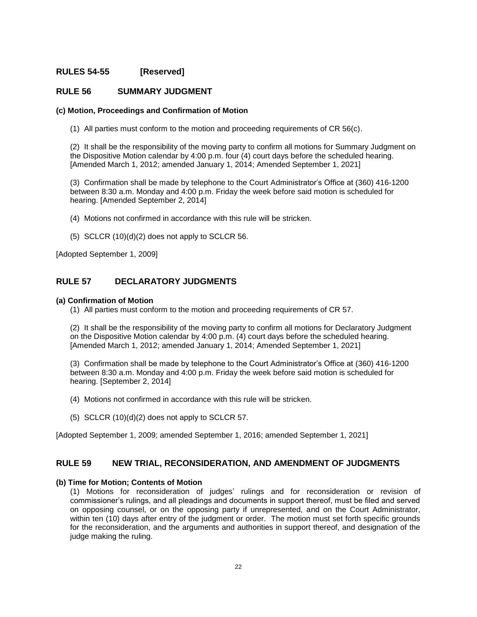## **RULES 54-55 [Reserved]**

## **RULE 56 SUMMARY JUDGMENT**

#### **(c) Motion, Proceedings and Confirmation of Motion**

(1) All parties must conform to the motion and proceeding requirements of CR 56(c).

(2) It shall be the responsibility of the moving party to confirm all motions for Summary Judgment on the Dispositive Motion calendar by 4:00 p.m. four (4) court days before the scheduled hearing. [Amended March 1, 2012; amended January 1, 2014; Amended September 1, 2021]

(3) Confirmation shall be made by telephone to the Court Administrator's Office at (360) 416-1200 between 8:30 a.m. Monday and 4:00 p.m. Friday the week before said motion is scheduled for hearing. [Amended September 2, 2014]

(4) Motions not confirmed in accordance with this rule will be stricken.

(5) SCLCR (10)(d)(2) does not apply to SCLCR 56.

[Adopted September 1, 2009]

## **RULE 57 DECLARATORY JUDGMENTS**

#### **(a) Confirmation of Motion**

(1) All parties must conform to the motion and proceeding requirements of CR 57.

(2) It shall be the responsibility of the moving party to confirm all motions for Declaratory Judgment on the Dispositive Motion calendar by 4:00 p.m. (4) court days before the scheduled hearing. [Amended March 1, 2012; amended January 1, 2014; Amended September 1, 2021]

(3) Confirmation shall be made by telephone to the Court Administrator's Office at (360) 416-1200 between 8:30 a.m. Monday and 4:00 p.m. Friday the week before said motion is scheduled for hearing. [September 2, 2014]

- (4) Motions not confirmed in accordance with this rule will be stricken.
- (5) SCLCR (10)(d)(2) does not apply to SCLCR 57.

[Adopted September 1, 2009; amended September 1, 2016; amended September 1, 2021]

#### **RULE 59 NEW TRIAL, RECONSIDERATION, AND AMENDMENT OF JUDGMENTS**

#### **(b) Time for Motion; Contents of Motion**

(1) Motions for reconsideration of judges' rulings and for reconsideration or revision of commissioner's rulings, and all pleadings and documents in support thereof, must be filed and served on opposing counsel, or on the opposing party if unrepresented, and on the Court Administrator, within ten (10) days after entry of the judgment or order. The motion must set forth specific grounds for the reconsideration, and the arguments and authorities in support thereof, and designation of the judge making the ruling.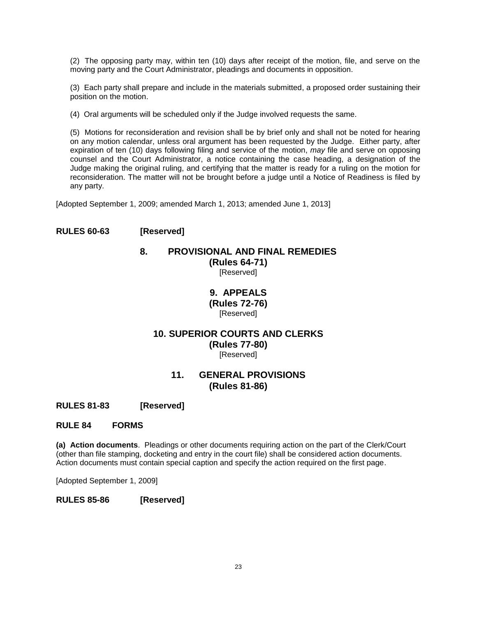(2) The opposing party may, within ten (10) days after receipt of the motion, file, and serve on the moving party and the Court Administrator, pleadings and documents in opposition.

(3) Each party shall prepare and include in the materials submitted, a proposed order sustaining their position on the motion.

(4) Oral arguments will be scheduled only if the Judge involved requests the same.

(5) Motions for reconsideration and revision shall be by brief only and shall not be noted for hearing on any motion calendar, unless oral argument has been requested by the Judge. Either party, after expiration of ten (10) days following filing and service of the motion, *may* file and serve on opposing counsel and the Court Administrator, a notice containing the case heading, a designation of the Judge making the original ruling, and certifying that the matter is ready for a ruling on the motion for reconsideration. The matter will not be brought before a judge until a Notice of Readiness is filed by any party.

[Adopted September 1, 2009; amended March 1, 2013; amended June 1, 2013]

# **RULES 60-63 [Reserved]**

# **8. PROVISIONAL AND FINAL REMEDIES (Rules 64-71)**

[Reserved]

## **9. APPEALS (Rules 72-76)**  [Reserved]

## **10. SUPERIOR COURTS AND CLERKS (Rules 77-80)**  [Reserved]

# **11. GENERAL PROVISIONS (Rules 81-86)**

**RULES 81-83 [Reserved]**

**RULE 84 FORMS**

**(a) Action documents**. Pleadings or other documents requiring action on the part of the Clerk/Court (other than file stamping, docketing and entry in the court file) shall be considered action documents. Action documents must contain special caption and specify the action required on the first page.

[Adopted September 1, 2009]

**RULES 85-86 [Reserved]**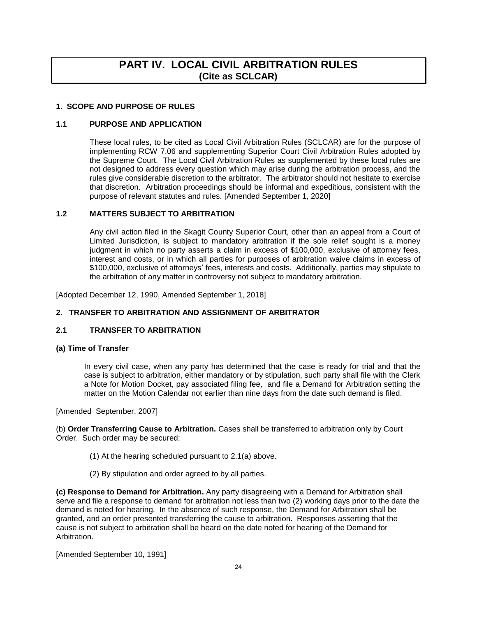# **PART IV. LOCAL CIVIL ARBITRATION RULES (Cite as SCLCAR)**

#### <span id="page-23-0"></span>**1. SCOPE AND PURPOSE OF RULES**

### **1.1 PURPOSE AND APPLICATION**

These local rules, to be cited as Local Civil Arbitration Rules (SCLCAR) are for the purpose of implementing RCW 7.06 and supplementing Superior Court Civil Arbitration Rules adopted by the Supreme Court. The Local Civil Arbitration Rules as supplemented by these local rules are not designed to address every question which may arise during the arbitration process, and the rules give considerable discretion to the arbitrator. The arbitrator should not hesitate to exercise that discretion. Arbitration proceedings should be informal and expeditious, consistent with the purpose of relevant statutes and rules. [Amended September 1, 2020]

### **1.2 MATTERS SUBJECT TO ARBITRATION**

Any civil action filed in the Skagit County Superior Court, other than an appeal from a Court of Limited Jurisdiction, is subject to mandatory arbitration if the sole relief sought is a money judgment in which no party asserts a claim in excess of \$100,000, exclusive of attorney fees, interest and costs, or in which all parties for purposes of arbitration waive claims in excess of \$100,000, exclusive of attorneys' fees, interests and costs. Additionally, parties may stipulate to the arbitration of any matter in controversy not subject to mandatory arbitration.

[Adopted December 12, 1990, Amended September 1, 2018]

### **2. TRANSFER TO ARBITRATION AND ASSIGNMENT OF ARBITRATOR**

### **2.1 TRANSFER TO ARBITRATION**

#### **(a) Time of Transfer**

In every civil case, when any party has determined that the case is ready for trial and that the case is subject to arbitration, either mandatory or by stipulation, such party shall file with the Clerk a Note for Motion Docket, pay associated filing fee, and file a Demand for Arbitration setting the matter on the Motion Calendar not earlier than nine days from the date such demand is filed.

[Amended September, 2007]

(b) **Order Transferring Cause to Arbitration.** Cases shall be transferred to arbitration only by Court Order. Such order may be secured:

- (1) At the hearing scheduled pursuant to 2.1(a) above.
- (2) By stipulation and order agreed to by all parties.

**(c) Response to Demand for Arbitration.** Any party disagreeing with a Demand for Arbitration shall serve and file a response to demand for arbitration not less than two (2) working days prior to the date the demand is noted for hearing. In the absence of such response, the Demand for Arbitration shall be granted, and an order presented transferring the cause to arbitration. Responses asserting that the cause is not subject to arbitration shall be heard on the date noted for hearing of the Demand for Arbitration.

[Amended September 10, 1991]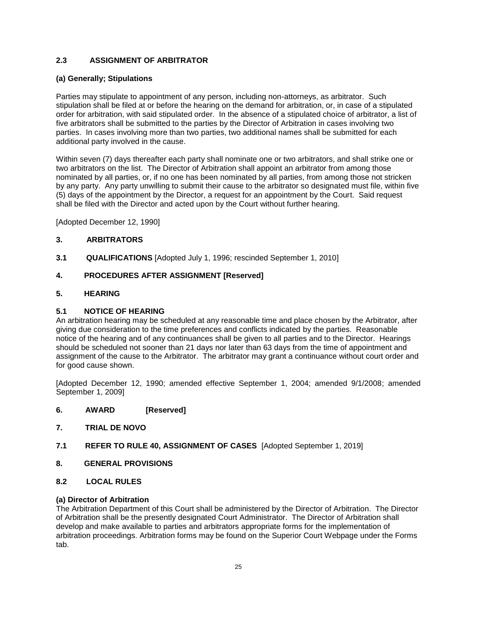## **2.3 ASSIGNMENT OF ARBITRATOR**

#### **(a) Generally; Stipulations**

Parties may stipulate to appointment of any person, including non-attorneys, as arbitrator. Such stipulation shall be filed at or before the hearing on the demand for arbitration, or, in case of a stipulated order for arbitration, with said stipulated order. In the absence of a stipulated choice of arbitrator, a list of five arbitrators shall be submitted to the parties by the Director of Arbitration in cases involving two parties. In cases involving more than two parties, two additional names shall be submitted for each additional party involved in the cause.

Within seven (7) days thereafter each party shall nominate one or two arbitrators, and shall strike one or two arbitrators on the list. The Director of Arbitration shall appoint an arbitrator from among those nominated by all parties, or, if no one has been nominated by all parties, from among those not stricken by any party. Any party unwilling to submit their cause to the arbitrator so designated must file, within five (5) days of the appointment by the Director, a request for an appointment by the Court. Said request shall be filed with the Director and acted upon by the Court without further hearing.

[Adopted December 12, 1990]

### **3. ARBITRATORS**

**3.1 QUALIFICATIONS** [Adopted July 1, 1996; rescinded September 1, 2010]

### **4. PROCEDURES AFTER ASSIGNMENT [Reserved]**

### **5. HEARING**

#### **5.1 NOTICE OF HEARING**

An arbitration hearing may be scheduled at any reasonable time and place chosen by the Arbitrator, after giving due consideration to the time preferences and conflicts indicated by the parties. Reasonable notice of the hearing and of any continuances shall be given to all parties and to the Director. Hearings should be scheduled not sooner than 21 days nor later than 63 days from the time of appointment and assignment of the cause to the Arbitrator. The arbitrator may grant a continuance without court order and for good cause shown.

[Adopted December 12, 1990; amended effective September 1, 2004; amended 9/1/2008; amended September 1, 2009]

- **6. AWARD [Reserved]**
- **7. TRIAL DE NOVO**
- **7.1 REFER TO RULE 40, ASSIGNMENT OF CASES** [Adopted September 1, 2019]
- **8. GENERAL PROVISIONS**
- **8.2 LOCAL RULES**

#### **(a) Director of Arbitration**

The Arbitration Department of this Court shall be administered by the Director of Arbitration. The Director of Arbitration shall be the presently designated Court Administrator. The Director of Arbitration shall develop and make available to parties and arbitrators appropriate forms for the implementation of arbitration proceedings. Arbitration forms may be found on the Superior Court Webpage under the Forms tab.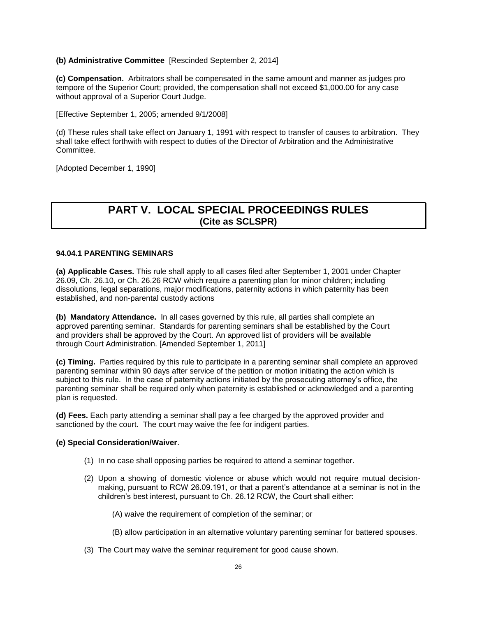#### <span id="page-25-0"></span>**(b) Administrative Committee** [Rescinded September 2, 2014]

**(c) Compensation.** Arbitrators shall be compensated in the same amount and manner as judges pro tempore of the Superior Court; provided, the compensation shall not exceed \$1,000.00 for any case without approval of a Superior Court Judge.

[Effective September 1, 2005; amended 9/1/2008]

(d) These rules shall take effect on January 1, 1991 with respect to transfer of causes to arbitration. They shall take effect forthwith with respect to duties of the Director of Arbitration and the Administrative Committee.

[Adopted December 1, 1990]

# **PART V. LOCAL SPECIAL PROCEEDINGS RULES (Cite as SCLSPR)**

#### **94.04.1 PARENTING SEMINARS**

**(a) Applicable Cases.** This rule shall apply to all cases filed after September 1, 2001 under Chapter 26.09, Ch. 26.10, or Ch. 26.26 RCW which require a parenting plan for minor children; including dissolutions, legal separations, major modifications, paternity actions in which paternity has been established, and non-parental custody actions

**(b) Mandatory Attendance.** In all cases governed by this rule, all parties shall complete an approved parenting seminar. Standards for parenting seminars shall be established by the Court and providers shall be approved by the Court. An approved list of providers will be available through Court Administration. [Amended September 1, 2011]

**(c) Timing.** Parties required by this rule to participate in a parenting seminar shall complete an approved parenting seminar within 90 days after service of the petition or motion initiating the action which is subject to this rule. In the case of paternity actions initiated by the prosecuting attorney's office, the parenting seminar shall be required only when paternity is established or acknowledged and a parenting plan is requested.

**(d) Fees.** Each party attending a seminar shall pay a fee charged by the approved provider and sanctioned by the court. The court may waive the fee for indigent parties.

#### **(e) Special Consideration/Waiver**.

- (1) In no case shall opposing parties be required to attend a seminar together.
- (2) Upon a showing of domestic violence or abuse which would not require mutual decisionmaking, pursuant to RCW 26.09.191, or that a parent's attendance at a seminar is not in the children's best interest, pursuant to Ch. 26.12 RCW, the Court shall either:
	- (A) waive the requirement of completion of the seminar; or
	- (B) allow participation in an alternative voluntary parenting seminar for battered spouses.
- (3) The Court may waive the seminar requirement for good cause shown.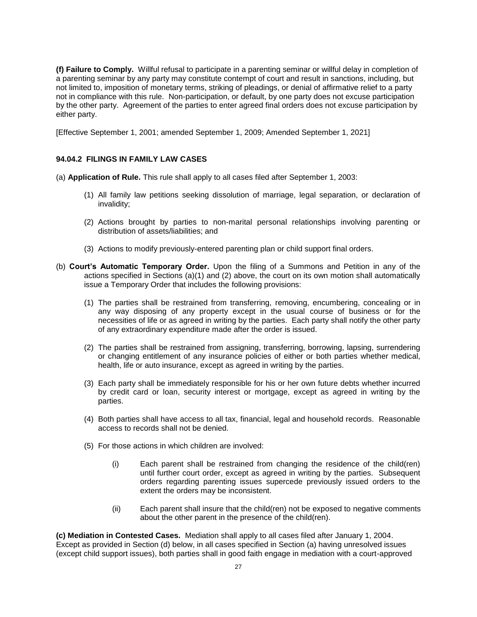**(f) Failure to Comply.** Willful refusal to participate in a parenting seminar or willful delay in completion of a parenting seminar by any party may constitute contempt of court and result in sanctions, including, but not limited to, imposition of monetary terms, striking of pleadings, or denial of affirmative relief to a party not in compliance with this rule. Non-participation, or default, by one party does not excuse participation by the other party. Agreement of the parties to enter agreed final orders does not excuse participation by either party.

[Effective September 1, 2001; amended September 1, 2009; Amended September 1, 2021]

#### **94.04.2 FILINGS IN FAMILY LAW CASES**

(a) **Application of Rule.** This rule shall apply to all cases filed after September 1, 2003:

- (1) All family law petitions seeking dissolution of marriage, legal separation, or declaration of invalidity;
- (2) Actions brought by parties to non-marital personal relationships involving parenting or distribution of assets/liabilities; and
- (3) Actions to modify previously-entered parenting plan or child support final orders.
- (b) **Court's Automatic Temporary Order.** Upon the filing of a Summons and Petition in any of the actions specified in Sections (a)(1) and (2) above, the court on its own motion shall automatically issue a Temporary Order that includes the following provisions:
	- (1) The parties shall be restrained from transferring, removing, encumbering, concealing or in any way disposing of any property except in the usual course of business or for the necessities of life or as agreed in writing by the parties. Each party shall notify the other party of any extraordinary expenditure made after the order is issued.
	- (2) The parties shall be restrained from assigning, transferring, borrowing, lapsing, surrendering or changing entitlement of any insurance policies of either or both parties whether medical, health, life or auto insurance, except as agreed in writing by the parties.
	- (3) Each party shall be immediately responsible for his or her own future debts whether incurred by credit card or loan, security interest or mortgage, except as agreed in writing by the parties.
	- (4) Both parties shall have access to all tax, financial, legal and household records. Reasonable access to records shall not be denied.
	- (5) For those actions in which children are involved:
		- (i) Each parent shall be restrained from changing the residence of the child(ren) until further court order, except as agreed in writing by the parties. Subsequent orders regarding parenting issues supercede previously issued orders to the extent the orders may be inconsistent.
		- (ii) Each parent shall insure that the child(ren) not be exposed to negative comments about the other parent in the presence of the child(ren).

**(c) Mediation in Contested Cases.** Mediation shall apply to all cases filed after January 1, 2004. Except as provided in Section (d) below, in all cases specified in Section (a) having unresolved issues (except child support issues), both parties shall in good faith engage in mediation with a court-approved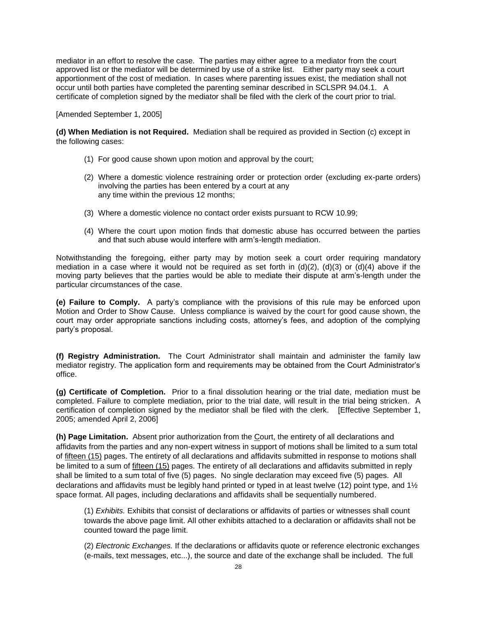mediator in an effort to resolve the case. The parties may either agree to a mediator from the court approved list or the mediator will be determined by use of a strike list. Either party may seek a court apportionment of the cost of mediation. In cases where parenting issues exist, the mediation shall not occur until both parties have completed the parenting seminar described in SCLSPR 94.04.1. A certificate of completion signed by the mediator shall be filed with the clerk of the court prior to trial.

[Amended September 1, 2005]

**(d) When Mediation is not Required.** Mediation shall be required as provided in Section (c) except in the following cases:

- (1) For good cause shown upon motion and approval by the court;
- (2) Where a domestic violence restraining order or protection order (excluding ex-parte orders) involving the parties has been entered by a court at any any time within the previous 12 months;
- (3) Where a domestic violence no contact order exists pursuant to RCW 10.99;
- (4) Where the court upon motion finds that domestic abuse has occurred between the parties and that such abuse would interfere with arm's-length mediation.

Notwithstanding the foregoing, either party may by motion seek a court order requiring mandatory mediation in a case where it would not be required as set forth in  $(d)(2)$ ,  $(d)(3)$  or  $(d)(4)$  above if the moving party believes that the parties would be able to mediate their dispute at arm's-length under the particular circumstances of the case.

**(e) Failure to Comply.** A party's compliance with the provisions of this rule may be enforced upon Motion and Order to Show Cause. Unless compliance is waived by the court for good cause shown, the court may order appropriate sanctions including costs, attorney's fees, and adoption of the complying party's proposal.

**(f) Registry Administration.** The Court Administrator shall maintain and administer the family law mediator registry. The application form and requirements may be obtained from the Court Administrator's office.

**(g) Certificate of Completion.** Prior to a final dissolution hearing or the trial date, mediation must be completed. Failure to complete mediation, prior to the trial date, will result in the trial being stricken. A certification of completion signed by the mediator shall be filed with the clerk. [Effective September 1, 2005; amended April 2, 2006]

**(h) Page Limitation.** Absent prior authorization from the Court, the entirety of all declarations and affidavits from the parties and any non-expert witness in support of motions shall be limited to a sum total of fifteen (15) pages. The entirety of all declarations and affidavits submitted in response to motions shall be limited to a sum of fifteen (15) pages. The entirety of all declarations and affidavits submitted in reply shall be limited to a sum total of five (5) pages. No single declaration may exceed five (5) pages. All declarations and affidavits must be legibly hand printed or typed in at least twelve (12) point type, and 1½ space format. All pages, including declarations and affidavits shall be sequentially numbered.

(1) *Exhibits.* Exhibits that consist of declarations or affidavits of parties or witnesses shall count towards the above page limit. All other exhibits attached to a declaration or affidavits shall not be counted toward the page limit.

(2) *Electronic Exchanges.* If the declarations or affidavits quote or reference electronic exchanges (e-mails, text messages, etc...), the source and date of the exchange shall be included. The full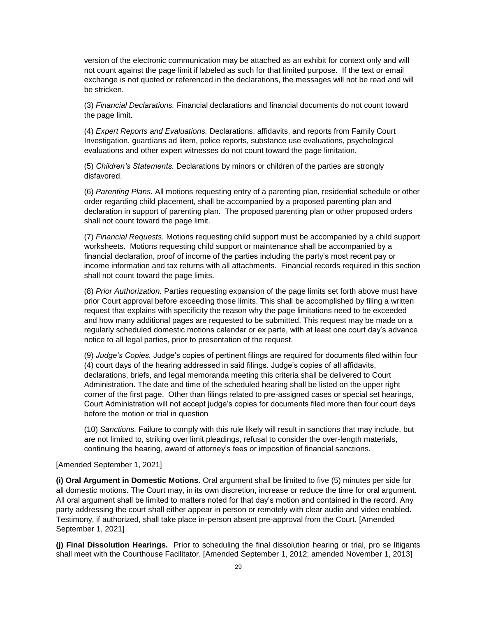version of the electronic communication may be attached as an exhibit for context only and will not count against the page limit if labeled as such for that limited purpose. If the text or email exchange is not quoted or referenced in the declarations, the messages will not be read and will be stricken.

(3) *Financial Declarations.* Financial declarations and financial documents do not count toward the page limit.

(4) *Expert Reports and Evaluations.* Declarations, affidavits, and reports from Family Court Investigation, guardians ad litem, police reports, substance use evaluations, psychological evaluations and other expert witnesses do not count toward the page limitation.

(5) *Children's Statements.* Declarations by minors or children of the parties are strongly disfavored.

(6) *Parenting Plans.* All motions requesting entry of a parenting plan, residential schedule or other order regarding child placement, shall be accompanied by a proposed parenting plan and declaration in support of parenting plan. The proposed parenting plan or other proposed orders shall not count toward the page limit.

(7) *Financial Requests.* Motions requesting child support must be accompanied by a child support worksheets. Motions requesting child support or maintenance shall be accompanied by a financial declaration, proof of income of the parties including the party's most recent pay or income information and tax returns with all attachments. Financial records required in this section shall not count toward the page limits.

(8) *Prior Authorization.* Parties requesting expansion of the page limits set forth above must have prior Court approval before exceeding those limits. This shall be accomplished by filing a written request that explains with specificity the reason why the page limitations need to be exceeded and how many additional pages are requested to be submitted. This request may be made on a regularly scheduled domestic motions calendar or ex parte, with at least one court day's advance notice to all legal parties, prior to presentation of the request.

(9) *Judge's Copies.* Judge's copies of pertinent filings are required for documents filed within four (4) court days of the hearing addressed in said filings. Judge's copies of all affidavits, declarations, briefs, and legal memoranda meeting this criteria shall be delivered to Court Administration. The date and time of the scheduled hearing shall be listed on the upper right corner of the first page. Other than filings related to pre-assigned cases or special set hearings, Court Administration will not accept judge's copies for documents filed more than four court days before the motion or trial in question

(10) *Sanctions.* Failure to comply with this rule likely will result in sanctions that may include, but are not limited to, striking over limit pleadings, refusal to consider the over-length materials, continuing the hearing, award of attorney's fees or imposition of financial sanctions.

[Amended September 1, 2021]

**(i) Oral Argument in Domestic Motions.** Oral argument shall be limited to five (5) minutes per side for all domestic motions. The Court may, in its own discretion, increase or reduce the time for oral argument. All oral argument shall be limited to matters noted for that day's motion and contained in the record. Any party addressing the court shall either appear in person or remotely with clear audio and video enabled. Testimony, if authorized, shall take place in-person absent pre-approval from the Court. [Amended September 1, 2021]

**(j) Final Dissolution Hearings.** Prior to scheduling the final dissolution hearing or trial, pro se litigants shall meet with the Courthouse Facilitator. [Amended September 1, 2012; amended November 1, 2013]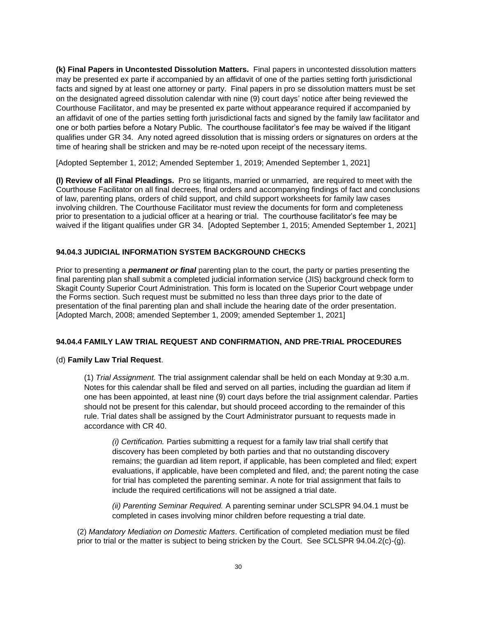**(k) Final Papers in Uncontested Dissolution Matters.** Final papers in uncontested dissolution matters may be presented ex parte if accompanied by an affidavit of one of the parties setting forth jurisdictional facts and signed by at least one attorney or party. Final papers in pro se dissolution matters must be set on the designated agreed dissolution calendar with nine (9) court days' notice after being reviewed the Courthouse Facilitator, and may be presented ex parte without appearance required if accompanied by an affidavit of one of the parties setting forth jurisdictional facts and signed by the family law facilitator and one or both parties before a Notary Public. The courthouse facilitator's fee may be waived if the litigant qualifies under GR 34. Any noted agreed dissolution that is missing orders or signatures on orders at the time of hearing shall be stricken and may be re-noted upon receipt of the necessary items.

[Adopted September 1, 2012; Amended September 1, 2019; Amended September 1, 2021]

**(l) Review of all Final Pleadings.** Pro se litigants, married or unmarried, are required to meet with the Courthouse Facilitator on all final decrees, final orders and accompanying findings of fact and conclusions of law, parenting plans, orders of child support, and child support worksheets for family law cases involving children. The Courthouse Facilitator must review the documents for form and completeness prior to presentation to a judicial officer at a hearing or trial. The courthouse facilitator's fee may be waived if the litigant qualifies under GR 34. [Adopted September 1, 2015; Amended September 1, 2021]

#### **94.04.3 JUDICIAL INFORMATION SYSTEM BACKGROUND CHECKS**

Prior to presenting a *permanent or final* parenting plan to the court, the party or parties presenting the final parenting plan shall submit a completed judicial information service (JIS) background check form to Skagit County Superior Court Administration. This form is located on the Superior Court webpage under the Forms section. Such request must be submitted no less than three days prior to the date of presentation of the final parenting plan and shall include the hearing date of the order presentation. [Adopted March, 2008; amended September 1, 2009; amended September 1, 2021]

#### **94.04.4 FAMILY LAW TRIAL REQUEST AND CONFIRMATION, AND PRE-TRIAL PROCEDURES**

#### (d) **Family Law Trial Request**.

(1) *Trial Assignment.* The trial assignment calendar shall be held on each Monday at 9:30 a.m. Notes for this calendar shall be filed and served on all parties, including the guardian ad litem if one has been appointed, at least nine (9) court days before the trial assignment calendar. Parties should not be present for this calendar, but should proceed according to the remainder of this rule. Trial dates shall be assigned by the Court Administrator pursuant to requests made in accordance with CR 40.

*(i) Certification.* Parties submitting a request for a family law trial shall certify that discovery has been completed by both parties and that no outstanding discovery remains; the guardian ad litem report, if applicable, has been completed and filed; expert evaluations, if applicable, have been completed and filed, and; the parent noting the case for trial has completed the parenting seminar. A note for trial assignment that fails to include the required certifications will not be assigned a trial date.

*(ii) Parenting Seminar Required.* A parenting seminar under SCLSPR 94.04.1 must be completed in cases involving minor children before requesting a trial date.

(2) *Mandatory Mediation on Domestic Matters*. Certification of completed mediation must be filed prior to trial or the matter is subject to being stricken by the Court. See SCLSPR 94.04.2(c)-(g).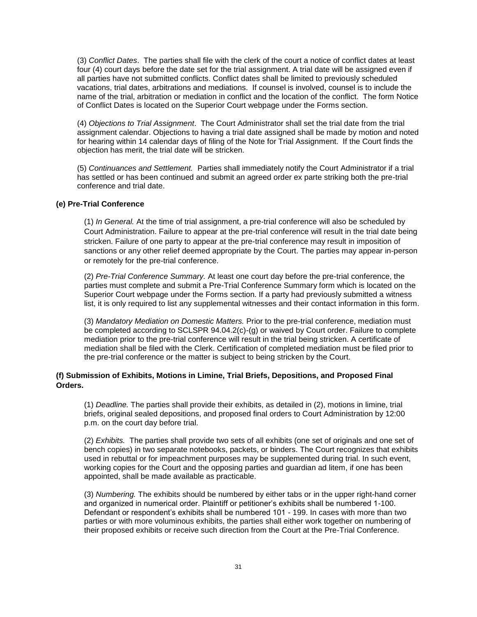(3) *Conflict Dates*. The parties shall file with the clerk of the court a notice of conflict dates at least four (4) court days before the date set for the trial assignment. A trial date will be assigned even if all parties have not submitted conflicts. Conflict dates shall be limited to previously scheduled vacations, trial dates, arbitrations and mediations. If counsel is involved, counsel is to include the name of the trial, arbitration or mediation in conflict and the location of the conflict. The form Notice of Conflict Dates is located on the Superior Court webpage under the Forms section.

(4) *Objections to Trial Assignment*. The Court Administrator shall set the trial date from the trial assignment calendar. Objections to having a trial date assigned shall be made by motion and noted for hearing within 14 calendar days of filing of the Note for Trial Assignment. If the Court finds the objection has merit, the trial date will be stricken.

(5) *Continuances and Settlement.* Parties shall immediately notify the Court Administrator if a trial has settled or has been continued and submit an agreed order ex parte striking both the pre-trial conference and trial date.

#### **(e) Pre-Trial Conference**

(1) *In General.* At the time of trial assignment, a pre-trial conference will also be scheduled by Court Administration. Failure to appear at the pre-trial conference will result in the trial date being stricken. Failure of one party to appear at the pre-trial conference may result in imposition of sanctions or any other relief deemed appropriate by the Court. The parties may appear in-person or remotely for the pre-trial conference.

(2) *Pre-Trial Conference Summary.* At least one court day before the pre-trial conference, the parties must complete and submit a Pre-Trial Conference Summary form which is located on the Superior Court webpage under the Forms section. If a party had previously submitted a witness list, it is only required to list any supplemental witnesses and their contact information in this form.

(3) *Mandatory Mediation on Domestic Matters.* Prior to the pre-trial conference, mediation must be completed according to SCLSPR 94.04.2(c)-(g) or waived by Court order. Failure to complete mediation prior to the pre-trial conference will result in the trial being stricken. A certificate of mediation shall be filed with the Clerk. Certification of completed mediation must be filed prior to the pre-trial conference or the matter is subject to being stricken by the Court.

### **(f) Submission of Exhibits, Motions in Limine, Trial Briefs, Depositions, and Proposed Final Orders.**

(1) *Deadline.* The parties shall provide their exhibits, as detailed in (2), motions in limine, trial briefs, original sealed depositions, and proposed final orders to Court Administration by 12:00 p.m. on the court day before trial.

(2) *Exhibits.* The parties shall provide two sets of all exhibits (one set of originals and one set of bench copies) in two separate notebooks, packets, or binders. The Court recognizes that exhibits used in rebuttal or for impeachment purposes may be supplemented during trial. In such event, working copies for the Court and the opposing parties and guardian ad litem, if one has been appointed, shall be made available as practicable.

(3) *Numbering.* The exhibits should be numbered by either tabs or in the upper right-hand corner and organized in numerical order. Plaintiff or petitioner's exhibits shall be numbered 1-100. Defendant or respondent's exhibits shall be numbered 101 - 199. In cases with more than two parties or with more voluminous exhibits, the parties shall either work together on numbering of their proposed exhibits or receive such direction from the Court at the Pre-Trial Conference.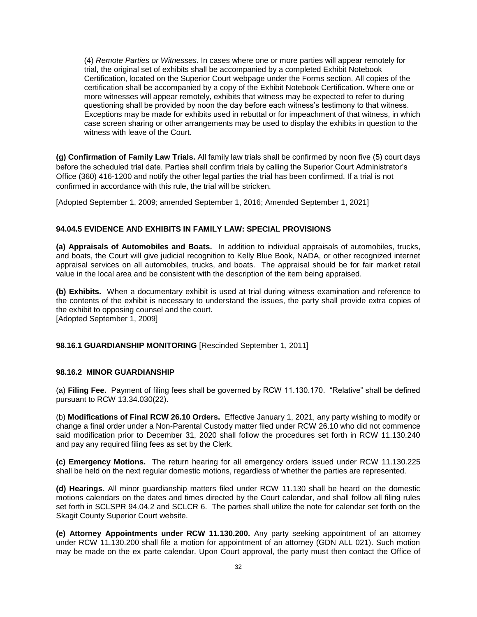(4) *Remote Parties or Witnesses.* In cases where one or more parties will appear remotely for trial, the original set of exhibits shall be accompanied by a completed Exhibit Notebook Certification, located on the Superior Court webpage under the Forms section. All copies of the certification shall be accompanied by a copy of the Exhibit Notebook Certification. Where one or more witnesses will appear remotely, exhibits that witness may be expected to refer to during questioning shall be provided by noon the day before each witness's testimony to that witness. Exceptions may be made for exhibits used in rebuttal or for impeachment of that witness, in which case screen sharing or other arrangements may be used to display the exhibits in question to the witness with leave of the Court.

**(g) Confirmation of Family Law Trials.** All family law trials shall be confirmed by noon five (5) court days before the scheduled trial date. Parties shall confirm trials by calling the Superior Court Administrator's Office (360) 416-1200 and notify the other legal parties the trial has been confirmed. If a trial is not confirmed in accordance with this rule, the trial will be stricken.

[Adopted September 1, 2009; amended September 1, 2016; Amended September 1, 2021]

#### **94.04.5 EVIDENCE AND EXHIBITS IN FAMILY LAW: SPECIAL PROVISIONS**

**(a) Appraisals of Automobiles and Boats.** In addition to individual appraisals of automobiles, trucks, and boats, the Court will give judicial recognition to Kelly Blue Book, NADA, or other recognized internet appraisal services on all automobiles, trucks, and boats. The appraisal should be for fair market retail value in the local area and be consistent with the description of the item being appraised.

**(b) Exhibits.** When a documentary exhibit is used at trial during witness examination and reference to the contents of the exhibit is necessary to understand the issues, the party shall provide extra copies of the exhibit to opposing counsel and the court. [Adopted September 1, 2009]

**98.16.1 GUARDIANSHIP MONITORING** [Rescinded September 1, 2011]

#### **98.16.2 MINOR GUARDIANSHIP**

(a) **Filing Fee.** Payment of filing fees shall be governed by RCW 11.130.170. "Relative" shall be defined pursuant to RCW 13.34.030(22).

(b) **Modifications of Final RCW 26.10 Orders.** Effective January 1, 2021, any party wishing to modify or change a final order under a Non-Parental Custody matter filed under RCW 26.10 who did not commence said modification prior to December 31, 2020 shall follow the procedures set forth in RCW 11.130.240 and pay any required filing fees as set by the Clerk.

**(c) Emergency Motions.** The return hearing for all emergency orders issued under RCW 11.130.225 shall be held on the next regular domestic motions, regardless of whether the parties are represented.

**(d) Hearings.** All minor guardianship matters filed under RCW 11.130 shall be heard on the domestic motions calendars on the dates and times directed by the Court calendar, and shall follow all filing rules set forth in SCLSPR 94.04.2 and SCLCR 6. The parties shall utilize the note for calendar set forth on the Skagit County Superior Court website.

**(e) Attorney Appointments under RCW 11.130.200.** Any party seeking appointment of an attorney under RCW 11.130.200 shall file a motion for appointment of an attorney (GDN ALL 021). Such motion may be made on the ex parte calendar. Upon Court approval, the party must then contact the Office of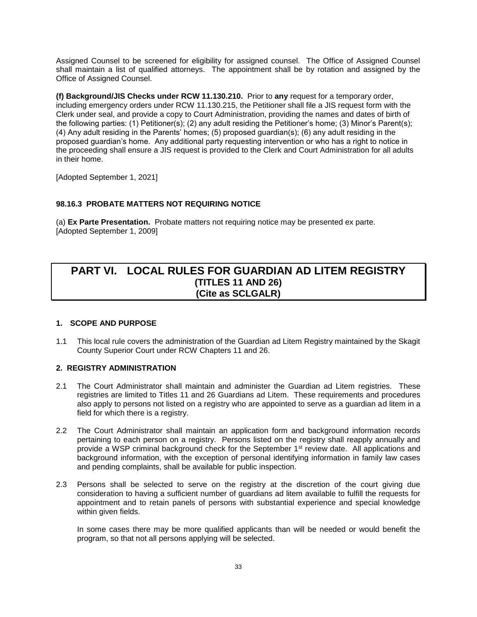<span id="page-32-0"></span>Assigned Counsel to be screened for eligibility for assigned counsel. The Office of Assigned Counsel shall maintain a list of qualified attorneys. The appointment shall be by rotation and assigned by the Office of Assigned Counsel.

**(f) Background/JIS Checks under RCW 11.130.210.** Prior to **any** request for a temporary order, including emergency orders under RCW 11.130.215, the Petitioner shall file a JIS request form with the Clerk under seal, and provide a copy to Court Administration, providing the names and dates of birth of the following parties: (1) Petitioner(s); (2) any adult residing the Petitioner's home; (3) Minor's Parent(s); (4) Any adult residing in the Parents' homes; (5) proposed guardian(s); (6) any adult residing in the proposed guardian's home. Any additional party requesting intervention or who has a right to notice in the proceeding shall ensure a JIS request is provided to the Clerk and Court Administration for all adults in their home.

[Adopted September 1, 2021]

## **98.16.3 PROBATE MATTERS NOT REQUIRING NOTICE**

(a) **Ex Parte Presentation.** Probate matters not requiring notice may be presented ex parte. [Adopted September 1, 2009]

# **PART VI. LOCAL RULES FOR GUARDIAN AD LITEM REGISTRY (TITLES 11 AND 26) (Cite as SCLGALR)**

#### **1. SCOPE AND PURPOSE**

1.1 This local rule covers the administration of the Guardian ad Litem Registry maintained by the Skagit County Superior Court under RCW Chapters 11 and 26.

## **2. REGISTRY ADMINISTRATION**

- 2.1 The Court Administrator shall maintain and administer the Guardian ad Litem registries. These registries are limited to Titles 11 and 26 Guardians ad Litem. These requirements and procedures also apply to persons not listed on a registry who are appointed to serve as a guardian ad litem in a field for which there is a registry.
- 2.2 The Court Administrator shall maintain an application form and background information records pertaining to each person on a registry. Persons listed on the registry shall reapply annually and provide a WSP criminal background check for the September 1st review date. All applications and background information, with the exception of personal identifying information in family law cases and pending complaints, shall be available for public inspection.
- 2.3 Persons shall be selected to serve on the registry at the discretion of the court giving due consideration to having a sufficient number of guardians ad litem available to fulfill the requests for appointment and to retain panels of persons with substantial experience and special knowledge within given fields.

In some cases there may be more qualified applicants than will be needed or would benefit the program, so that not all persons applying will be selected.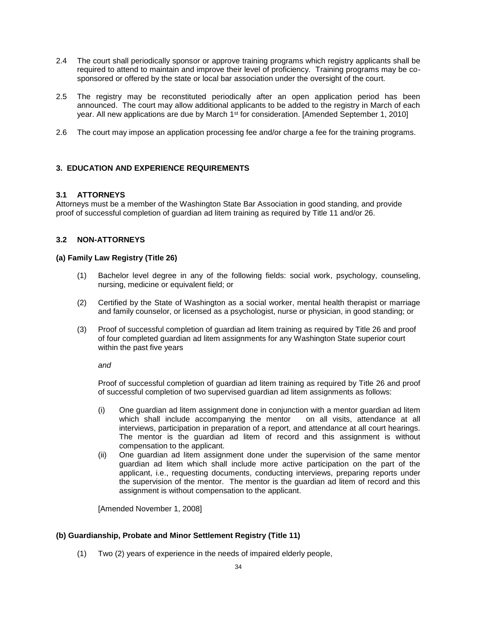- 2.4 The court shall periodically sponsor or approve training programs which registry applicants shall be required to attend to maintain and improve their level of proficiency. Training programs may be cosponsored or offered by the state or local bar association under the oversight of the court.
- 2.5 The registry may be reconstituted periodically after an open application period has been announced. The court may allow additional applicants to be added to the registry in March of each year. All new applications are due by March 1<sup>st</sup> for consideration. [Amended September 1, 2010]
- 2.6 The court may impose an application processing fee and/or charge a fee for the training programs.

## **3. EDUCATION AND EXPERIENCE REQUIREMENTS**

### **3.1 ATTORNEYS**

Attorneys must be a member of the Washington State Bar Association in good standing, and provide proof of successful completion of guardian ad litem training as required by Title 11 and/or 26.

### **3.2 NON-ATTORNEYS**

#### **(a) Family Law Registry (Title 26)**

- (1) Bachelor level degree in any of the following fields: social work, psychology, counseling, nursing, medicine or equivalent field; or
- (2) Certified by the State of Washington as a social worker, mental health therapist or marriage and family counselor, or licensed as a psychologist, nurse or physician, in good standing; or
- (3) Proof of successful completion of guardian ad litem training as required by Title 26 and proof of four completed guardian ad litem assignments for any Washington State superior court within the past five years

*and*

Proof of successful completion of guardian ad litem training as required by Title 26 and proof of successful completion of two supervised guardian ad litem assignments as follows:

- (i) One guardian ad litem assignment done in conjunction with a mentor guardian ad litem which shall include accompanying the mentor on all visits, attendance at all interviews, participation in preparation of a report, and attendance at all court hearings. The mentor is the guardian ad litem of record and this assignment is without compensation to the applicant.
- (ii) One guardian ad litem assignment done under the supervision of the same mentor guardian ad litem which shall include more active participation on the part of the applicant, i.e., requesting documents, conducting interviews, preparing reports under the supervision of the mentor. The mentor is the guardian ad litem of record and this assignment is without compensation to the applicant.

[Amended November 1, 2008]

## **(b) Guardianship, Probate and Minor Settlement Registry (Title 11)**

(1) Two (2) years of experience in the needs of impaired elderly people,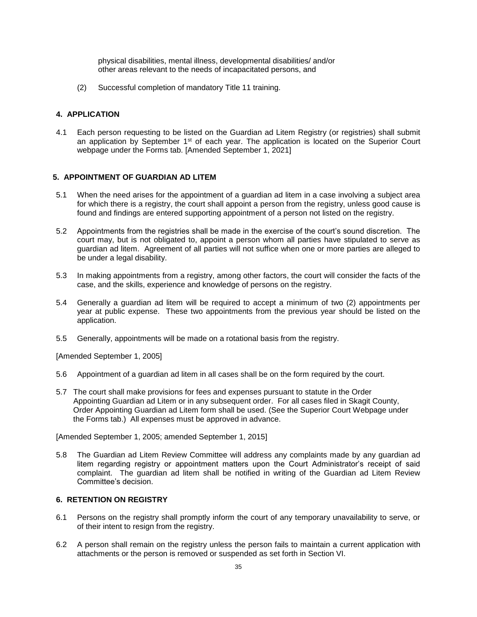physical disabilities, mental illness, developmental disabilities/ and/or other areas relevant to the needs of incapacitated persons, and

(2) Successful completion of mandatory Title 11 training.

## **4. APPLICATION**

4.1 Each person requesting to be listed on the Guardian ad Litem Registry (or registries) shall submit an application by September 1<sup>st</sup> of each year. The application is located on the Superior Court webpage under the Forms tab. [Amended September 1, 2021]

## **5. APPOINTMENT OF GUARDIAN AD LITEM**

- 5.1 When the need arises for the appointment of a guardian ad litem in a case involving a subject area for which there is a registry, the court shall appoint a person from the registry, unless good cause is found and findings are entered supporting appointment of a person not listed on the registry.
- 5.2 Appointments from the registries shall be made in the exercise of the court's sound discretion. The court may, but is not obligated to, appoint a person whom all parties have stipulated to serve as guardian ad litem. Agreement of all parties will not suffice when one or more parties are alleged to be under a legal disability.
- 5.3 In making appointments from a registry, among other factors, the court will consider the facts of the case, and the skills, experience and knowledge of persons on the registry.
- 5.4 Generally a guardian ad litem will be required to accept a minimum of two (2) appointments per year at public expense. These two appointments from the previous year should be listed on the application.
- 5.5 Generally, appointments will be made on a rotational basis from the registry.

[Amended September 1, 2005]

- 5.6 Appointment of a guardian ad litem in all cases shall be on the form required by the court.
- 5.7 The court shall make provisions for fees and expenses pursuant to statute in the Order Appointing Guardian ad Litem or in any subsequent order. For all cases filed in Skagit County, Order Appointing Guardian ad Litem form shall be used. (See the Superior Court Webpage under the Forms tab.) All expenses must be approved in advance.

[Amended September 1, 2005; amended September 1, 2015]

5.8 The Guardian ad Litem Review Committee will address any complaints made by any guardian ad litem regarding registry or appointment matters upon the Court Administrator's receipt of said complaint. The guardian ad litem shall be notified in writing of the Guardian ad Litem Review Committee's decision.

## **6. RETENTION ON REGISTRY**

- 6.1 Persons on the registry shall promptly inform the court of any temporary unavailability to serve, or of their intent to resign from the registry.
- 6.2 A person shall remain on the registry unless the person fails to maintain a current application with attachments or the person is removed or suspended as set forth in Section VI.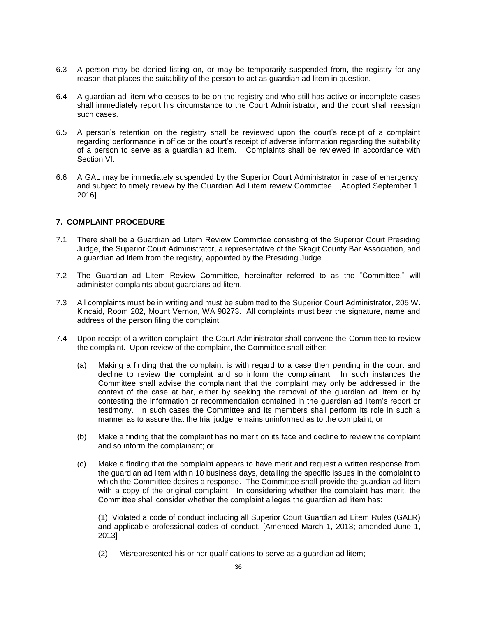- 6.3 A person may be denied listing on, or may be temporarily suspended from, the registry for any reason that places the suitability of the person to act as guardian ad litem in question.
- 6.4 A guardian ad litem who ceases to be on the registry and who still has active or incomplete cases shall immediately report his circumstance to the Court Administrator, and the court shall reassign such cases.
- 6.5 A person's retention on the registry shall be reviewed upon the court's receipt of a complaint regarding performance in office or the court's receipt of adverse information regarding the suitability of a person to serve as a guardian ad litem. Complaints shall be reviewed in accordance with Section VI.
- 6.6 A GAL may be immediately suspended by the Superior Court Administrator in case of emergency, and subject to timely review by the Guardian Ad Litem review Committee. [Adopted September 1, 2016]

#### **7. COMPLAINT PROCEDURE**

- 7.1 There shall be a Guardian ad Litem Review Committee consisting of the Superior Court Presiding Judge, the Superior Court Administrator, a representative of the Skagit County Bar Association, and a guardian ad litem from the registry, appointed by the Presiding Judge.
- 7.2 The Guardian ad Litem Review Committee, hereinafter referred to as the "Committee," will administer complaints about guardians ad litem.
- 7.3 All complaints must be in writing and must be submitted to the Superior Court Administrator, 205 W. Kincaid, Room 202, Mount Vernon, WA 98273. All complaints must bear the signature, name and address of the person filing the complaint.
- 7.4 Upon receipt of a written complaint, the Court Administrator shall convene the Committee to review the complaint. Upon review of the complaint, the Committee shall either:
	- (a) Making a finding that the complaint is with regard to a case then pending in the court and decline to review the complaint and so inform the complainant. In such instances the Committee shall advise the complainant that the complaint may only be addressed in the context of the case at bar, either by seeking the removal of the guardian ad litem or by contesting the information or recommendation contained in the guardian ad litem's report or testimony. In such cases the Committee and its members shall perform its role in such a manner as to assure that the trial judge remains uninformed as to the complaint; or
	- (b) Make a finding that the complaint has no merit on its face and decline to review the complaint and so inform the complainant; or
	- (c) Make a finding that the complaint appears to have merit and request a written response from the guardian ad litem within 10 business days, detailing the specific issues in the complaint to which the Committee desires a response. The Committee shall provide the guardian ad litem with a copy of the original complaint. In considering whether the complaint has merit, the Committee shall consider whether the complaint alleges the guardian ad litem has:

(1) Violated a code of conduct including all Superior Court Guardian ad Litem Rules (GALR) and applicable professional codes of conduct. [Amended March 1, 2013; amended June 1, 2013]

(2) Misrepresented his or her qualifications to serve as a guardian ad litem;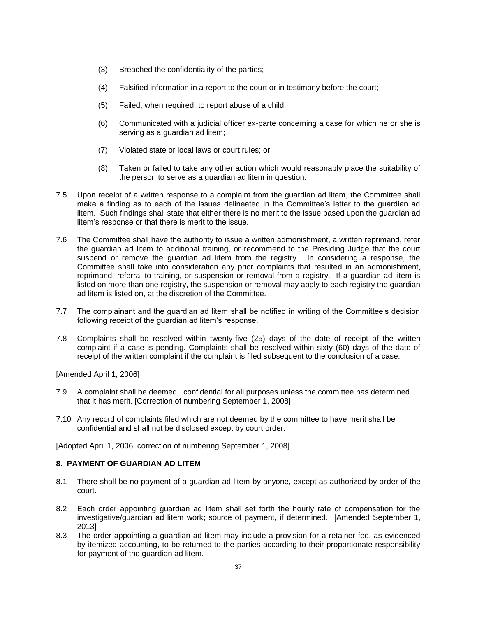- (3) Breached the confidentiality of the parties;
- (4) Falsified information in a report to the court or in testimony before the court;
- (5) Failed, when required, to report abuse of a child;
- (6) Communicated with a judicial officer ex-parte concerning a case for which he or she is serving as a guardian ad litem;
- (7) Violated state or local laws or court rules; or
- (8) Taken or failed to take any other action which would reasonably place the suitability of the person to serve as a guardian ad litem in question.
- 7.5 Upon receipt of a written response to a complaint from the guardian ad litem, the Committee shall make a finding as to each of the issues delineated in the Committee's letter to the guardian ad litem. Such findings shall state that either there is no merit to the issue based upon the guardian ad litem's response or that there is merit to the issue.
- 7.6 The Committee shall have the authority to issue a written admonishment, a written reprimand, refer the guardian ad litem to additional training, or recommend to the Presiding Judge that the court suspend or remove the guardian ad litem from the registry. In considering a response, the Committee shall take into consideration any prior complaints that resulted in an admonishment, reprimand, referral to training, or suspension or removal from a registry. If a guardian ad litem is listed on more than one registry, the suspension or removal may apply to each registry the guardian ad litem is listed on, at the discretion of the Committee.
- 7.7 The complainant and the guardian ad litem shall be notified in writing of the Committee's decision following receipt of the guardian ad litem's response.
- 7.8 Complaints shall be resolved within twenty-five (25) days of the date of receipt of the written complaint if a case is pending. Complaints shall be resolved within sixty (60) days of the date of receipt of the written complaint if the complaint is filed subsequent to the conclusion of a case.

[Amended April 1, 2006]

- 7.9 A complaint shall be deemed confidential for all purposes unless the committee has determined that it has merit. [Correction of numbering September 1, 2008]
- 7.10 Any record of complaints filed which are not deemed by the committee to have merit shall be confidential and shall not be disclosed except by court order.

[Adopted April 1, 2006; correction of numbering September 1, 2008]

### **8. PAYMENT OF GUARDIAN AD LITEM**

- 8.1 There shall be no payment of a guardian ad litem by anyone, except as authorized by order of the court.
- 8.2 Each order appointing guardian ad litem shall set forth the hourly rate of compensation for the investigative/guardian ad litem work; source of payment, if determined. [Amended September 1, 2013]
- 8.3 The order appointing a guardian ad litem may include a provision for a retainer fee, as evidenced by itemized accounting, to be returned to the parties according to their proportionate responsibility for payment of the guardian ad litem.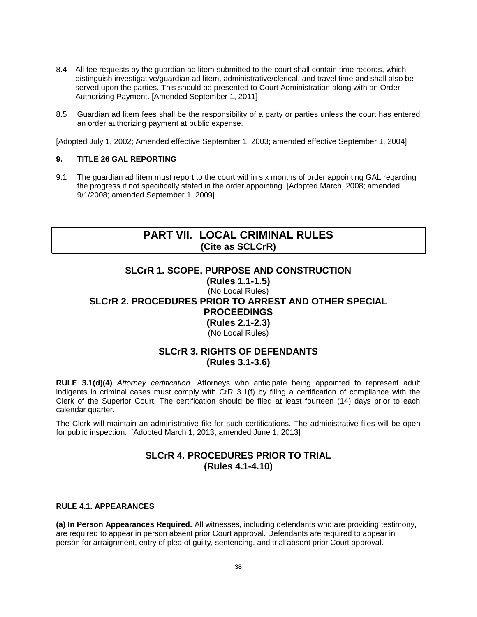- <span id="page-37-0"></span>8.4 All fee requests by the guardian ad litem submitted to the court shall contain time records, which distinguish investigative/guardian ad litem, administrative/clerical, and travel time and shall also be served upon the parties. This should be presented to Court Administration along with an Order Authorizing Payment. [Amended September 1, 2011]
- 8.5 Guardian ad litem fees shall be the responsibility of a party or parties unless the court has entered an order authorizing payment at public expense.

[Adopted July 1, 2002; Amended effective September 1, 2003; amended effective September 1, 2004]

#### **9. TITLE 26 GAL REPORTING**

9.1 The guardian ad litem must report to the court within six months of order appointing GAL regarding the progress if not specifically stated in the order appointing. [Adopted March, 2008; amended 9/1/2008; amended September 1, 2009]

# **PART VII. LOCAL CRIMINAL RULES (Cite as SCLCrR)**

## **SLCrR 1. SCOPE, PURPOSE AND CONSTRUCTION**

**(Rules 1.1-1.5)** (No Local Rules)

# **SLCrR 2. PROCEDURES PRIOR TO ARREST AND OTHER SPECIAL PROCEEDINGS (Rules 2.1-2.3)**

(No Local Rules)

# **SLCrR 3. RIGHTS OF DEFENDANTS (Rules 3.1-3.6)**

**RULE 3.1(d)(4)** *Attorney certification*. Attorneys who anticipate being appointed to represent adult indigents in criminal cases must comply with CrR 3.1(f) by filing a certification of compliance with the Clerk of the Superior Court. The certification should be filed at least fourteen (14) days prior to each calendar quarter.

The Clerk will maintain an administrative file for such certifications. The administrative files will be open for public inspection. [Adopted March 1, 2013; amended June 1, 2013]

# **SLCrR 4. PROCEDURES PRIOR TO TRIAL (Rules 4.1-4.10)**

#### **RULE 4.1. APPEARANCES**

**(a) In Person Appearances Required.** All witnesses, including defendants who are providing testimony, are required to appear in person absent prior Court approval. Defendants are required to appear in person for arraignment, entry of plea of guilty, sentencing, and trial absent prior Court approval.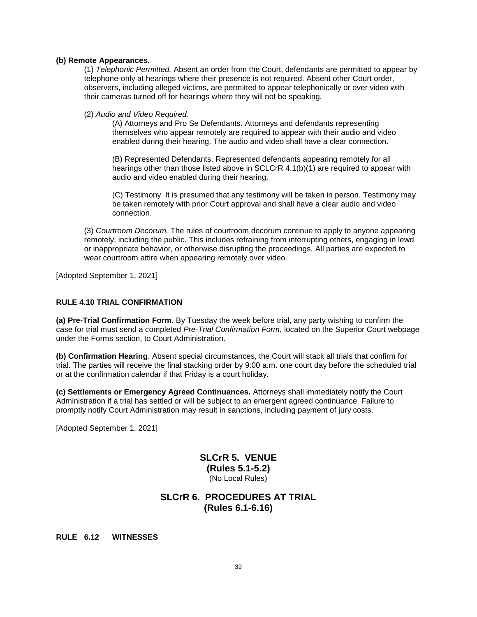#### **(b) Remote Appearances.**

(1) *Telephonic Permitted.* Absent an order from the Court, defendants are permitted to appear by telephone-only at hearings where their presence is not required. Absent other Court order, observers, including alleged victims, are permitted to appear telephonically or over video with their cameras turned off for hearings where they will not be speaking.

#### (2) *Audio and Video Required.*

(A) Attorneys and Pro Se Defendants. Attorneys and defendants representing themselves who appear remotely are required to appear with their audio and video enabled during their hearing. The audio and video shall have a clear connection.

(B) Represented Defendants. Represented defendants appearing remotely for all hearings other than those listed above in SCLCrR 4.1(b)(1) are required to appear with audio and video enabled during their hearing.

(C) Testimony. It is presumed that any testimony will be taken in person. Testimony may be taken remotely with prior Court approval and shall have a clear audio and video connection.

(3) *Courtroom Decorum.* The rules of courtroom decorum continue to apply to anyone appearing remotely, including the public. This includes refraining from interrupting others, engaging in lewd or inappropriate behavior, or otherwise disrupting the proceedings. All parties are expected to wear courtroom attire when appearing remotely over video.

[Adopted September 1, 2021]

### **RULE 4.10 TRIAL CONFIRMATION**

**(a) Pre-Trial Confirmation Form.** By Tuesday the week before trial, any party wishing to confirm the case for trial must send a completed *Pre-Trial Confirmation Form*, located on the Superior Court webpage under the Forms section, to Court Administration.

**(b) Confirmation Hearing**. Absent special circumstances, the Court will stack all trials that confirm for trial. The parties will receive the final stacking order by 9:00 a.m. one court day before the scheduled trial or at the confirmation calendar if that Friday is a court holiday.

**(c) Settlements or Emergency Agreed Continuances.** Attorneys shall immediately notify the Court Administration if a trial has settled or will be subject to an emergent agreed continuance. Failure to promptly notify Court Administration may result in sanctions, including payment of jury costs.

[Adopted September 1, 2021]

## **SLCrR 5. VENUE (Rules 5.1-5.2)** (No Local Rules)

# **SLCrR 6. PROCEDURES AT TRIAL (Rules 6.1-6.16)**

**RULE 6.12 WITNESSES**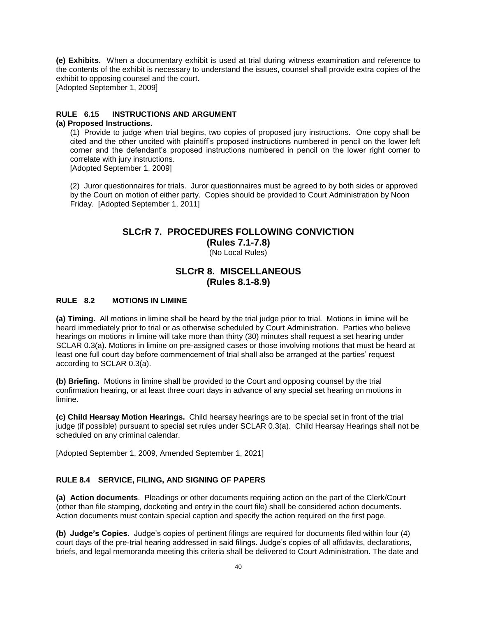**(e) Exhibits.** When a documentary exhibit is used at trial during witness examination and reference to the contents of the exhibit is necessary to understand the issues, counsel shall provide extra copies of the exhibit to opposing counsel and the court. [Adopted September 1, 2009]

**RULE 6.15 INSTRUCTIONS AND ARGUMENT**

#### **(a) Proposed Instructions.**

(1) Provide to judge when trial begins, two copies of proposed jury instructions. One copy shall be cited and the other uncited with plaintiff's proposed instructions numbered in pencil on the lower left corner and the defendant's proposed instructions numbered in pencil on the lower right corner to correlate with jury instructions.

[Adopted September 1, 2009]

(2) Juror questionnaires for trials. Juror questionnaires must be agreed to by both sides or approved by the Court on motion of either party. Copies should be provided to Court Administration by Noon Friday. [Adopted September 1, 2011]

## **SLCrR 7. PROCEDURES FOLLOWING CONVICTION**

**(Rules 7.1-7.8)** (No Local Rules)

## **SLCrR 8. MISCELLANEOUS (Rules 8.1-8.9)**

#### **RULE 8.2 MOTIONS IN LIMINE**

**(a) Timing.** All motions in limine shall be heard by the trial judge prior to trial. Motions in limine will be heard immediately prior to trial or as otherwise scheduled by Court Administration. Parties who believe hearings on motions in limine will take more than thirty (30) minutes shall request a set hearing under SCLAR 0.3(a). Motions in limine on pre-assigned cases or those involving motions that must be heard at least one full court day before commencement of trial shall also be arranged at the parties' request according to SCLAR 0.3(a).

**(b) Briefing.** Motions in limine shall be provided to the Court and opposing counsel by the trial confirmation hearing, or at least three court days in advance of any special set hearing on motions in limine.

**(c) Child Hearsay Motion Hearings.** Child hearsay hearings are to be special set in front of the trial judge (if possible) pursuant to special set rules under SCLAR 0.3(a). Child Hearsay Hearings shall not be scheduled on any criminal calendar.

[Adopted September 1, 2009, Amended September 1, 2021]

### **RULE 8.4 SERVICE, FILING, AND SIGNING OF PAPERS**

**(a) Action documents**. Pleadings or other documents requiring action on the part of the Clerk/Court (other than file stamping, docketing and entry in the court file) shall be considered action documents. Action documents must contain special caption and specify the action required on the first page.

**(b) Judge's Copies.** Judge's copies of pertinent filings are required for documents filed within four (4) court days of the pre-trial hearing addressed in said filings. Judge's copies of all affidavits, declarations, briefs, and legal memoranda meeting this criteria shall be delivered to Court Administration. The date and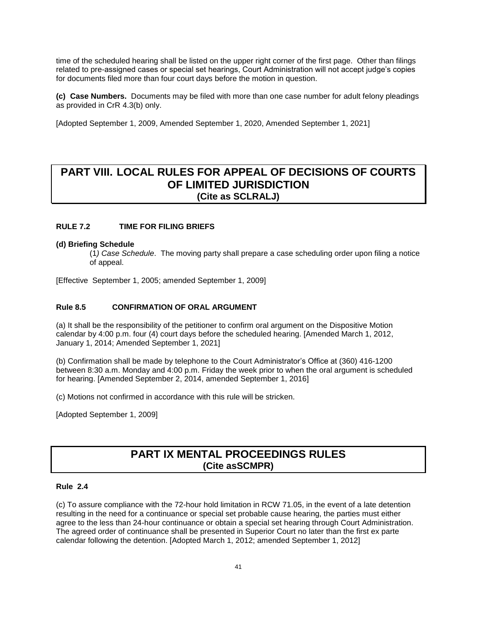<span id="page-40-0"></span>time of the scheduled hearing shall be listed on the upper right corner of the first page. Other than filings related to pre-assigned cases or special set hearings, Court Administration will not accept judge's copies for documents filed more than four court days before the motion in question.

**(c) Case Numbers.** Documents may be filed with more than one case number for adult felony pleadings as provided in CrR 4.3(b) only.

[Adopted September 1, 2009, Amended September 1, 2020, Amended September 1, 2021]

# **PART VIII. LOCAL RULES FOR APPEAL OF DECISIONS OF COURTS OF LIMITED JURISDICTION (Cite as SCLRALJ)**

## **RULE 7.2 TIME FOR FILING BRIEFS**

#### **(d) Briefing Schedule**

(1*) Case Schedule*. The moving party shall prepare a case scheduling order upon filing a notice of appeal.

[Effective September 1, 2005; amended September 1, 2009]

#### **Rule 8.5 CONFIRMATION OF ORAL ARGUMENT**

(a) It shall be the responsibility of the petitioner to confirm oral argument on the Dispositive Motion calendar by 4:00 p.m. four (4) court days before the scheduled hearing. [Amended March 1, 2012, January 1, 2014; Amended September 1, 2021]

(b) Confirmation shall be made by telephone to the Court Administrator's Office at (360) 416-1200 between 8:30 a.m. Monday and 4:00 p.m. Friday the week prior to when the oral argument is scheduled for hearing. [Amended September 2, 2014, amended September 1, 2016]

(c) Motions not confirmed in accordance with this rule will be stricken.

[Adopted September 1, 2009]

# **PART IX MENTAL PROCEEDINGS RULES (Cite asSCMPR)**

#### **Rule 2.4**

(c) To assure compliance with the 72-hour hold limitation in RCW 71.05, in the event of a late detention resulting in the need for a continuance or special set probable cause hearing, the parties must either agree to the less than 24-hour continuance or obtain a special set hearing through Court Administration. The agreed order of continuance shall be presented in Superior Court no later than the first ex parte calendar following the detention. [Adopted March 1, 2012; amended September 1, 2012]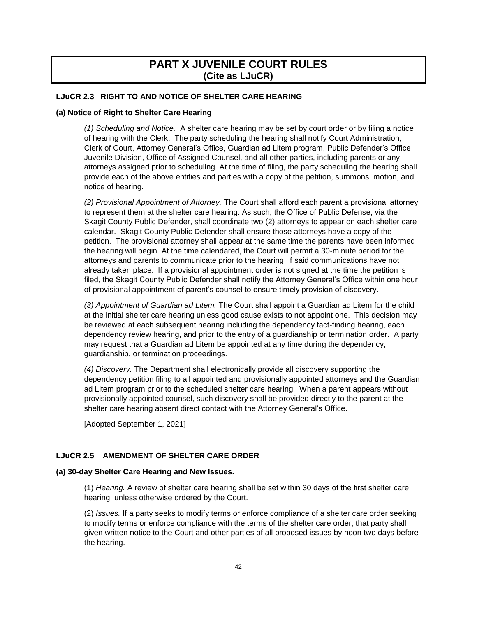# **PART X JUVENILE COURT RULES (Cite as LJuCR)**

### <span id="page-41-0"></span>**LJuCR 2.3 RIGHT TO AND NOTICE OF SHELTER CARE HEARING**

#### **(a) Notice of Right to Shelter Care Hearing**

*(1) Scheduling and Notice.* A shelter care hearing may be set by court order or by filing a notice of hearing with the Clerk. The party scheduling the hearing shall notify Court Administration, Clerk of Court, Attorney General's Office, Guardian ad Litem program, Public Defender's Office Juvenile Division, Office of Assigned Counsel, and all other parties, including parents or any attorneys assigned prior to scheduling. At the time of filing, the party scheduling the hearing shall provide each of the above entities and parties with a copy of the petition, summons, motion, and notice of hearing.

*(2) Provisional Appointment of Attorney.* The Court shall afford each parent a provisional attorney to represent them at the shelter care hearing. As such, the Office of Public Defense, via the Skagit County Public Defender, shall coordinate two (2) attorneys to appear on each shelter care calendar. Skagit County Public Defender shall ensure those attorneys have a copy of the petition. The provisional attorney shall appear at the same time the parents have been informed the hearing will begin. At the time calendared, the Court will permit a 30-minute period for the attorneys and parents to communicate prior to the hearing, if said communications have not already taken place. If a provisional appointment order is not signed at the time the petition is filed, the Skagit County Public Defender shall notify the Attorney General's Office within one hour of provisional appointment of parent's counsel to ensure timely provision of discovery.

*(3) Appointment of Guardian ad Litem.* The Court shall appoint a Guardian ad Litem for the child at the initial shelter care hearing unless good cause exists to not appoint one. This decision may be reviewed at each subsequent hearing including the dependency fact-finding hearing, each dependency review hearing, and prior to the entry of a guardianship or termination order. A party may request that a Guardian ad Litem be appointed at any time during the dependency, guardianship, or termination proceedings.

*(4) Discovery.* The Department shall electronically provide all discovery supporting the dependency petition filing to all appointed and provisionally appointed attorneys and the Guardian ad Litem program prior to the scheduled shelter care hearing. When a parent appears without provisionally appointed counsel, such discovery shall be provided directly to the parent at the shelter care hearing absent direct contact with the Attorney General's Office.

[Adopted September 1, 2021]

## **LJuCR 2.5 AMENDMENT OF SHELTER CARE ORDER**

#### **(a) 30-day Shelter Care Hearing and New Issues.**

(1) *Hearing.* A review of shelter care hearing shall be set within 30 days of the first shelter care hearing, unless otherwise ordered by the Court.

(2) *Issues.* If a party seeks to modify terms or enforce compliance of a shelter care order seeking to modify terms or enforce compliance with the terms of the shelter care order, that party shall given written notice to the Court and other parties of all proposed issues by noon two days before the hearing.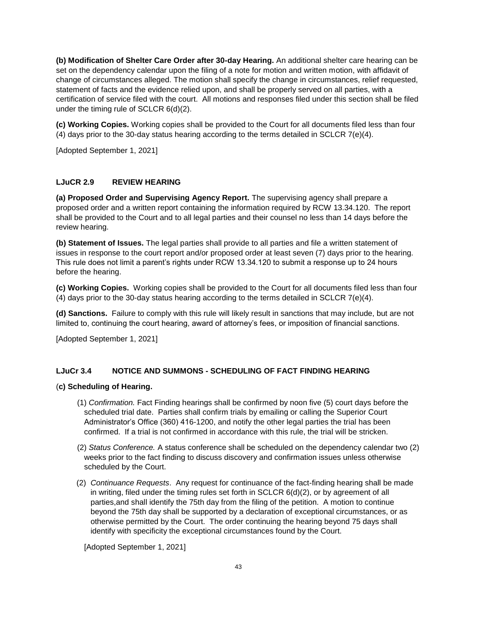**(b) Modification of Shelter Care Order after 30-day Hearing.** An additional shelter care hearing can be set on the dependency calendar upon the filing of a note for motion and written motion, with affidavit of change of circumstances alleged. The motion shall specify the change in circumstances, relief requested, statement of facts and the evidence relied upon, and shall be properly served on all parties, with a certification of service filed with the court. All motions and responses filed under this section shall be filed under the timing rule of SCLCR 6(d)(2).

**(c) Working Copies.** Working copies shall be provided to the Court for all documents filed less than four (4) days prior to the 30-day status hearing according to the terms detailed in SCLCR  $7(e)(4)$ .

[Adopted September 1, 2021]

## **LJuCR 2.9 REVIEW HEARING**

**(a) Proposed Order and Supervising Agency Report.** The supervising agency shall prepare a proposed order and a written report containing the information required by RCW 13.34.120. The report shall be provided to the Court and to all legal parties and their counsel no less than 14 days before the review hearing.

**(b) Statement of Issues.** The legal parties shall provide to all parties and file a written statement of issues in response to the court report and/or proposed order at least seven (7) days prior to the hearing. This rule does not limit a parent's rights under RCW 13.34.120 to submit a response up to 24 hours before the hearing.

**(c) Working Copies.** Working copies shall be provided to the Court for all documents filed less than four (4) days prior to the 30-day status hearing according to the terms detailed in SCLCR  $7(e)(4)$ .

**(d) Sanctions.** Failure to comply with this rule will likely result in sanctions that may include, but are not limited to, continuing the court hearing, award of attorney's fees, or imposition of financial sanctions.

[Adopted September 1, 2021]

## **LJuCr 3.4 NOTICE AND SUMMONS - SCHEDULING OF FACT FINDING HEARING**

#### (**c) Scheduling of Hearing.**

- (1) *Confirmation.* Fact Finding hearings shall be confirmed by noon five (5) court days before the scheduled trial date. Parties shall confirm trials by emailing or calling the Superior Court Administrator's Office (360) 416-1200, and notify the other legal parties the trial has been confirmed. If a trial is not confirmed in accordance with this rule, the trial will be stricken.
- (2) *Status Conference.* A status conference shall be scheduled on the dependency calendar two (2) weeks prior to the fact finding to discuss discovery and confirmation issues unless otherwise scheduled by the Court.
- (2) *Continuance Requests*. Any request for continuance of the fact-finding hearing shall be made in writing, filed under the timing rules set forth in SCLCR 6(d)(2), or by agreement of all parties,and shall identify the 75th day from the filing of the petition. A motion to continue beyond the 75th day shall be supported by a declaration of exceptional circumstances, or as otherwise permitted by the Court. The order continuing the hearing beyond 75 days shall identify with specificity the exceptional circumstances found by the Court.

[Adopted September 1, 2021]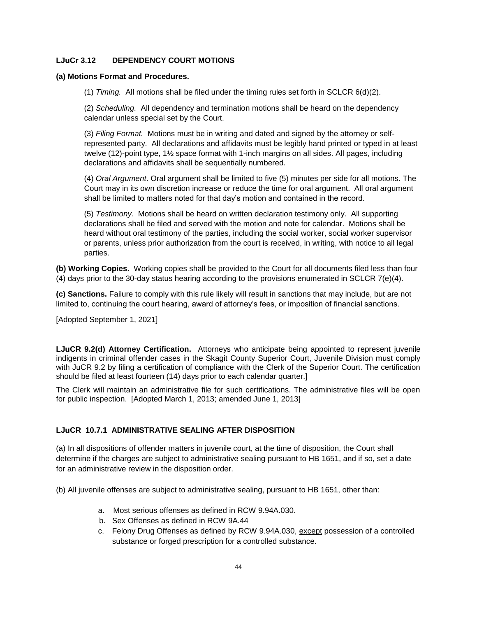## **LJuCr 3.12 DEPENDENCY COURT MOTIONS**

#### **(a) Motions Format and Procedures.**

(1) *Timing.* All motions shall be filed under the timing rules set forth in SCLCR 6(d)(2).

(2) *Scheduling.* All dependency and termination motions shall be heard on the dependency calendar unless special set by the Court.

(3) *Filing Format.* Motions must be in writing and dated and signed by the attorney or selfrepresented party. All declarations and affidavits must be legibly hand printed or typed in at least twelve (12)-point type, 1½ space format with 1-inch margins on all sides. All pages, including declarations and affidavits shall be sequentially numbered.

(4) *Oral Argument*. Oral argument shall be limited to five (5) minutes per side for all motions. The Court may in its own discretion increase or reduce the time for oral argument. All oral argument shall be limited to matters noted for that day's motion and contained in the record.

(5) *Testimony*. Motions shall be heard on written declaration testimony only. All supporting declarations shall be filed and served with the motion and note for calendar. Motions shall be heard without oral testimony of the parties, including the social worker, social worker supervisor or parents, unless prior authorization from the court is received, in writing, with notice to all legal parties.

**(b) Working Copies.** Working copies shall be provided to the Court for all documents filed less than four (4) days prior to the 30-day status hearing according to the provisions enumerated in SCLCR 7(e)(4).

**(c) Sanctions.** Failure to comply with this rule likely will result in sanctions that may include, but are not limited to, continuing the court hearing, award of attorney's fees, or imposition of financial sanctions.

[Adopted September 1, 2021]

**LJuCR 9.2(d) Attorney Certification.** Attorneys who anticipate being appointed to represent juvenile indigents in criminal offender cases in the Skagit County Superior Court, Juvenile Division must comply with JuCR 9.2 by filing a certification of compliance with the Clerk of the Superior Court. The certification should be filed at least fourteen (14) days prior to each calendar quarter.]

The Clerk will maintain an administrative file for such certifications. The administrative files will be open for public inspection. [Adopted March 1, 2013; amended June 1, 2013]

## **LJuCR 10.7.1 ADMINISTRATIVE SEALING AFTER DISPOSITION**

(a) In all dispositions of offender matters in juvenile court, at the time of disposition, the Court shall determine if the charges are subject to administrative sealing pursuant to HB 1651, and if so, set a date for an administrative review in the disposition order.

(b) All juvenile offenses are subject to administrative sealing, pursuant to HB 1651, other than:

- a. Most serious offenses as defined in RCW 9.94A.030.
- b. Sex Offenses as defined in RCW 9A.44
- c. Felony Drug Offenses as defined by RCW 9.94A.030, except possession of a controlled substance or forged prescription for a controlled substance.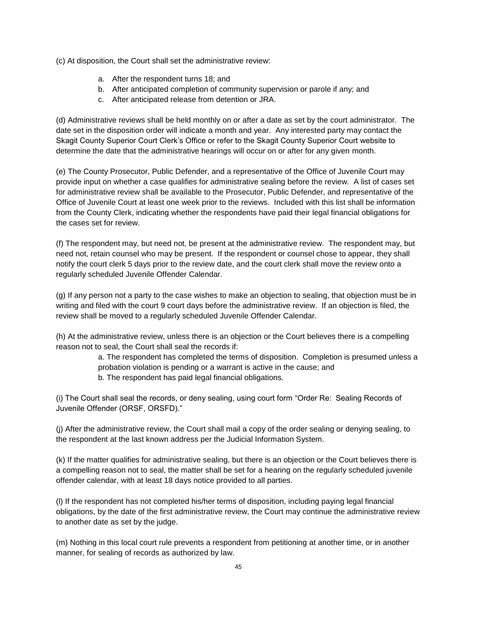(c) At disposition, the Court shall set the administrative review:

- a. After the respondent turns 18; and
- b. After anticipated completion of community supervision or parole if any; and
- c. After anticipated release from detention or JRA.

(d) Administrative reviews shall be held monthly on or after a date as set by the court administrator. The date set in the disposition order will indicate a month and year. Any interested party may contact the Skagit County Superior Court Clerk's Office or refer to the Skagit County Superior Court website to determine the date that the administrative hearings will occur on or after for any given month.

(e) The County Prosecutor, Public Defender, and a representative of the Office of Juvenile Court may provide input on whether a case qualifies for administrative sealing before the review. A list of cases set for administrative review shall be available to the Prosecutor, Public Defender, and representative of the Office of Juvenile Court at least one week prior to the reviews. Included with this list shall be information from the County Clerk, indicating whether the respondents have paid their legal financial obligations for the cases set for review.

(f) The respondent may, but need not, be present at the administrative review. The respondent may, but need not, retain counsel who may be present. If the respondent or counsel chose to appear, they shall notify the court clerk 5 days prior to the review date, and the court clerk shall move the review onto a regularly scheduled Juvenile Offender Calendar.

(g) If any person not a party to the case wishes to make an objection to sealing, that objection must be in writing and filed with the court 9 court days before the administrative review. If an objection is filed, the review shall be moved to a regularly scheduled Juvenile Offender Calendar.

(h) At the administrative review, unless there is an objection or the Court believes there is a compelling reason not to seal, the Court shall seal the records if:

> a. The respondent has completed the terms of disposition. Completion is presumed unless a probation violation is pending or a warrant is active in the cause; and b. The respondent has paid legal financial obligations.

(i) The Court shall seal the records, or deny sealing, using court form "Order Re: Sealing Records of Juvenile Offender (ORSF, ORSFD)."

(j) After the administrative review, the Court shall mail a copy of the order sealing or denying sealing, to the respondent at the last known address per the Judicial Information System.

(k) If the matter qualifies for administrative sealing, but there is an objection or the Court believes there is a compelling reason not to seal, the matter shall be set for a hearing on the regularly scheduled juvenile offender calendar, with at least 18 days notice provided to all parties.

(l) If the respondent has not completed his/her terms of disposition, including paying legal financial obligations, by the date of the first administrative review, the Court may continue the administrative review to another date as set by the judge.

(m) Nothing in this local court rule prevents a respondent from petitioning at another time, or in another manner, for sealing of records as authorized by law.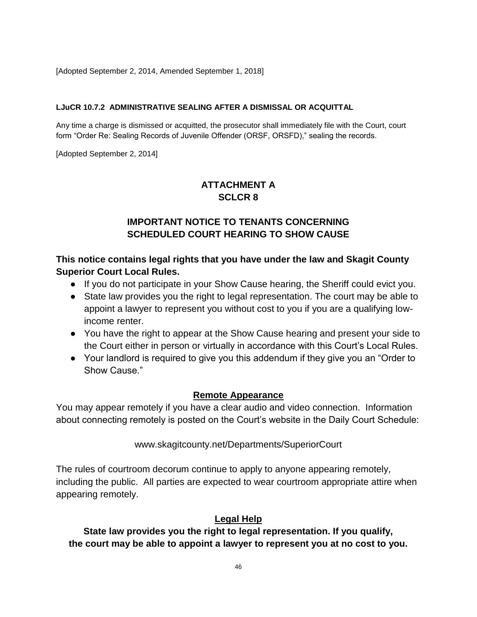[Adopted September 2, 2014, Amended September 1, 2018]

## **LJuCR 10.7.2 ADMINISTRATIVE SEALING AFTER A DISMISSAL OR ACQUITTAL**

Any time a charge is dismissed or acquitted, the prosecutor shall immediately file with the Court, court form "Order Re: Sealing Records of Juvenile Offender (ORSF, ORSFD)," sealing the records.

[Adopted September 2, 2014]

# **ATTACHMENT A SCLCR 8**

# **IMPORTANT NOTICE TO TENANTS CONCERNING SCHEDULED COURT HEARING TO SHOW CAUSE**

**This notice contains legal rights that you have under the law and Skagit County Superior Court Local Rules.**

- If you do not participate in your Show Cause hearing, the Sheriff could evict you.
- State law provides you the right to legal representation. The court may be able to appoint a lawyer to represent you without cost to you if you are a qualifying lowincome renter.
- You have the right to appear at the Show Cause hearing and present your side to the Court either in person or virtually in accordance with this Court's Local Rules.
- Your landlord is required to give you this addendum if they give you an "Order to Show Cause."

# **Remote Appearance**

You may appear remotely if you have a clear audio and video connection. Information about connecting remotely is posted on the Court's website in the Daily Court Schedule:

[www.skagitcounty.net/Departments/SuperiorCourt](http://www.skagitcounty.net/Departments/SuperiorCourt)

The rules of courtroom decorum continue to apply to anyone appearing remotely, including the public. All parties are expected to wear courtroom appropriate attire when appearing remotely.

# **Legal Help**

**State law provides you the right to legal representation. If you qualify, the court may be able to appoint a lawyer to represent you at no cost to you.**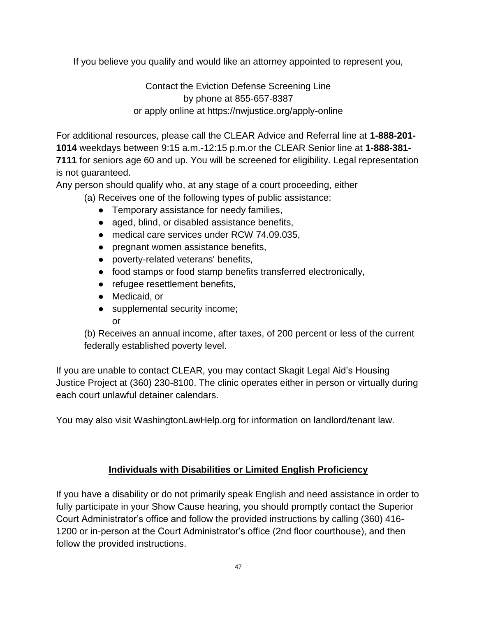If you believe you qualify and would like an attorney appointed to represent you,

Contact the Eviction Defense Screening Line by phone at 855-657-8387 or apply online at https://nwjustice.org/apply-online

For additional resources, please call the CLEAR Advice and Referral line at **1-888-201- 1014** weekdays between 9:15 a.m.-12:15 p.m.or the CLEAR Senior line at **1-888-381- 7111** for seniors age 60 and up. You will be screened for eligibility. Legal representation is not guaranteed.

Any person should qualify who, at any stage of a court proceeding, either

(a) Receives one of the following types of public assistance:

- Temporary assistance for needy families,
- aged, blind, or disabled assistance benefits,
- medical care services under RCW 74.09.035,
- pregnant women assistance benefits,
- poverty-related veterans' benefits,
- food stamps or food stamp benefits transferred electronically,
- refugee resettlement benefits,
- Medicaid, or
- supplemental security income;

or

(b) Receives an annual income, after taxes, of 200 percent or less of the current federally established poverty level.

If you are unable to contact CLEAR, you may contact Skagit Legal Aid's Housing Justice Project at (360) 230-8100. The clinic operates either in person or virtually during each court unlawful detainer calendars.

You may also visit WashingtonLawHelp.org for information on landlord/tenant law.

# **Individuals with Disabilities or Limited English Proficiency**

If you have a disability or do not primarily speak English and need assistance in order to fully participate in your Show Cause hearing, you should promptly contact the Superior Court Administrator's office and follow the provided instructions by calling (360) 416- 1200 or in-person at the Court Administrator's office (2nd floor courthouse), and then follow the provided instructions.